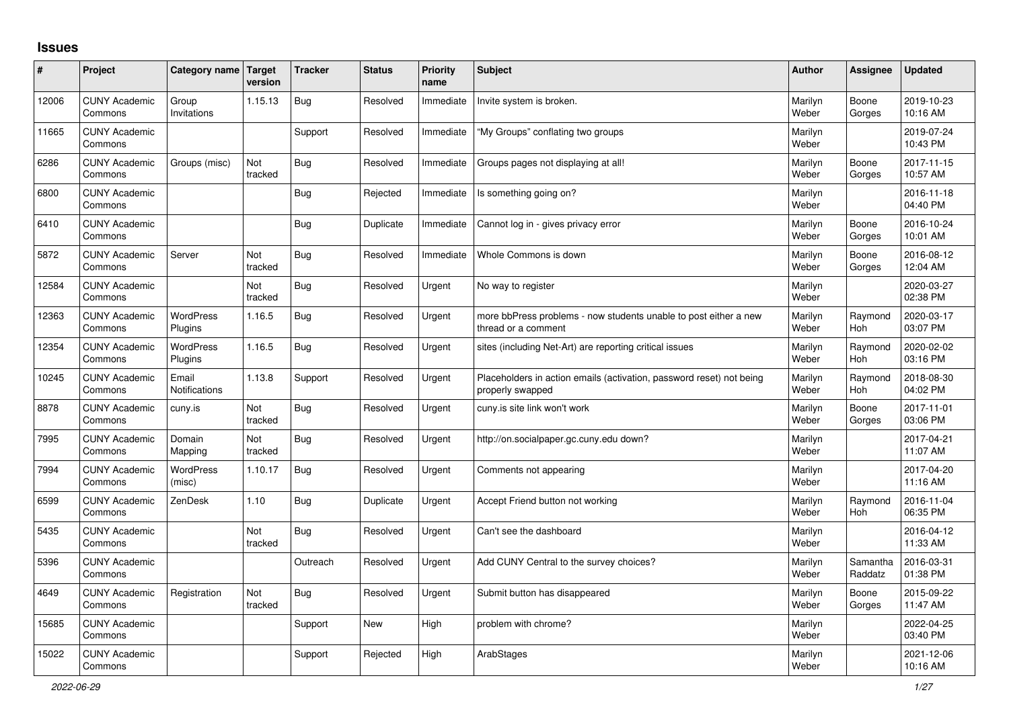## **Issues**

| ∦     | Project                         | Category name Target          | version        | <b>Tracker</b> | <b>Status</b> | <b>Priority</b><br>name | <b>Subject</b>                                                                           | <b>Author</b>    | Assignee              | <b>Updated</b>         |
|-------|---------------------------------|-------------------------------|----------------|----------------|---------------|-------------------------|------------------------------------------------------------------------------------------|------------------|-----------------------|------------------------|
| 12006 | <b>CUNY Academic</b><br>Commons | Group<br>Invitations          | 1.15.13        | <b>Bug</b>     | Resolved      | Immediate               | Invite system is broken.                                                                 | Marilyn<br>Weber | Boone<br>Gorges       | 2019-10-23<br>10:16 AM |
| 11665 | <b>CUNY Academic</b><br>Commons |                               |                | Support        | Resolved      | Immediate               | "My Groups" conflating two groups                                                        | Marilyn<br>Weber |                       | 2019-07-24<br>10:43 PM |
| 6286  | <b>CUNY Academic</b><br>Commons | Groups (misc)                 | Not<br>tracked | <b>Bug</b>     | Resolved      | Immediate               | Groups pages not displaying at all!                                                      | Marilyn<br>Weber | Boone<br>Gorges       | 2017-11-15<br>10:57 AM |
| 6800  | <b>CUNY Academic</b><br>Commons |                               |                | <b>Bug</b>     | Rejected      | Immediate               | Is something going on?                                                                   | Marilyn<br>Weber |                       | 2016-11-18<br>04:40 PM |
| 6410  | <b>CUNY Academic</b><br>Commons |                               |                | <b>Bug</b>     | Duplicate     | Immediate               | Cannot log in - gives privacy error                                                      | Marilyn<br>Weber | Boone<br>Gorges       | 2016-10-24<br>10:01 AM |
| 5872  | <b>CUNY Academic</b><br>Commons | Server                        | Not<br>tracked | Bug            | Resolved      | Immediate               | Whole Commons is down                                                                    | Marilyn<br>Weber | Boone<br>Gorges       | 2016-08-12<br>12:04 AM |
| 12584 | <b>CUNY Academic</b><br>Commons |                               | Not<br>tracked | <b>Bug</b>     | Resolved      | Urgent                  | No way to register                                                                       | Marilyn<br>Weber |                       | 2020-03-27<br>02:38 PM |
| 12363 | <b>CUNY Academic</b><br>Commons | <b>WordPress</b><br>Plugins   | 1.16.5         | <b>Bug</b>     | Resolved      | Urgent                  | more bbPress problems - now students unable to post either a new<br>thread or a comment  | Marilyn<br>Weber | Raymond<br><b>Hoh</b> | 2020-03-17<br>03:07 PM |
| 12354 | <b>CUNY Academic</b><br>Commons | <b>WordPress</b><br>Plugins   | 1.16.5         | Bug            | Resolved      | Urgent                  | sites (including Net-Art) are reporting critical issues                                  | Marilyn<br>Weber | Raymond<br>Hoh        | 2020-02-02<br>03:16 PM |
| 10245 | <b>CUNY Academic</b><br>Commons | Email<br><b>Notifications</b> | 1.13.8         | Support        | Resolved      | Urgent                  | Placeholders in action emails (activation, password reset) not being<br>properly swapped | Marilyn<br>Weber | Raymond<br><b>Hoh</b> | 2018-08-30<br>04:02 PM |
| 8878  | <b>CUNY Academic</b><br>Commons | cuny.is                       | Not<br>tracked | Bug            | Resolved      | Urgent                  | cuny.is site link won't work                                                             | Marilyn<br>Weber | Boone<br>Gorges       | 2017-11-01<br>03:06 PM |
| 7995  | <b>CUNY Academic</b><br>Commons | Domain<br>Mapping             | Not<br>tracked | <b>Bug</b>     | Resolved      | Urgent                  | http://on.socialpaper.gc.cuny.edu down?                                                  | Marilyn<br>Weber |                       | 2017-04-21<br>11:07 AM |
| 7994  | <b>CUNY Academic</b><br>Commons | <b>WordPress</b><br>(misc)    | 1.10.17        | <b>Bug</b>     | Resolved      | Urgent                  | Comments not appearing                                                                   | Marilyn<br>Weber |                       | 2017-04-20<br>11:16 AM |
| 6599  | <b>CUNY Academic</b><br>Commons | ZenDesk                       | 1.10           | Bug            | Duplicate     | Urgent                  | Accept Friend button not working                                                         | Marilyn<br>Weber | Raymond<br>Hoh        | 2016-11-04<br>06:35 PM |
| 5435  | <b>CUNY Academic</b><br>Commons |                               | Not<br>tracked | <b>Bug</b>     | Resolved      | Urgent                  | Can't see the dashboard                                                                  | Marilyn<br>Weber |                       | 2016-04-12<br>11:33 AM |
| 5396  | <b>CUNY Academic</b><br>Commons |                               |                | Outreach       | Resolved      | Urgent                  | Add CUNY Central to the survey choices?                                                  | Marilyn<br>Weber | Samantha<br>Raddatz   | 2016-03-31<br>01:38 PM |
| 4649  | <b>CUNY Academic</b><br>Commons | Registration                  | Not<br>tracked | <b>Bug</b>     | Resolved      | Urgent                  | Submit button has disappeared                                                            | Marilyn<br>Weber | Boone<br>Gorges       | 2015-09-22<br>11:47 AM |
| 15685 | <b>CUNY Academic</b><br>Commons |                               |                | Support        | <b>New</b>    | High                    | problem with chrome?                                                                     | Marilyn<br>Weber |                       | 2022-04-25<br>03:40 PM |
| 15022 | <b>CUNY Academic</b><br>Commons |                               |                | Support        | Rejected      | High                    | ArabStages                                                                               | Marilyn<br>Weber |                       | 2021-12-06<br>10:16 AM |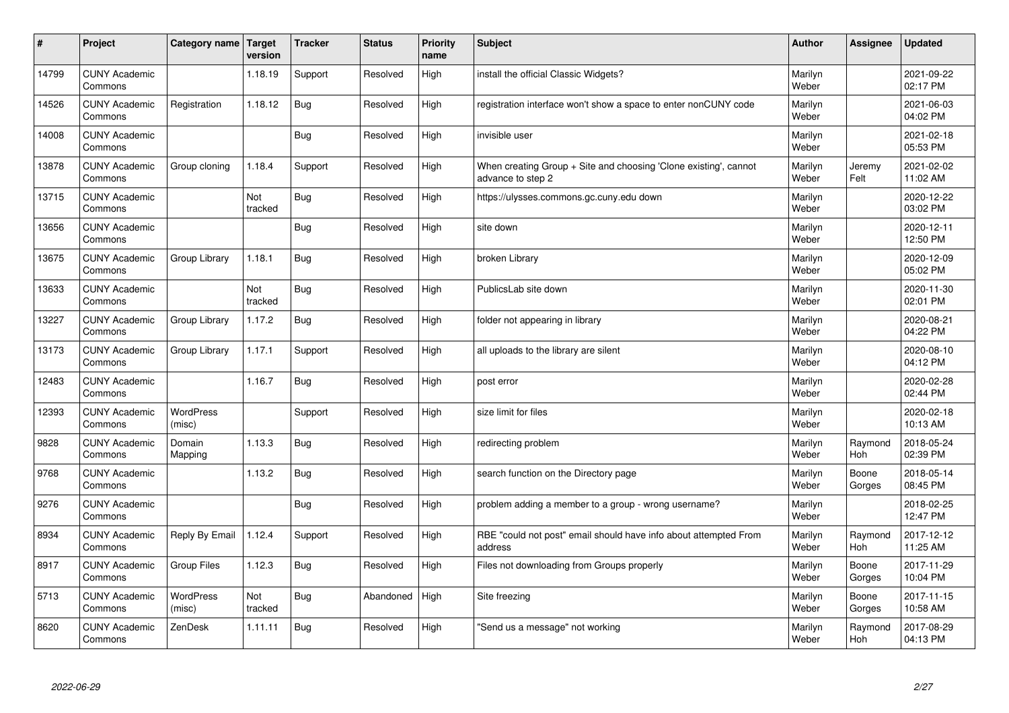| $\sharp$ | Project                         | Category name   Target     | version        | <b>Tracker</b> | <b>Status</b> | <b>Priority</b><br>name | <b>Subject</b>                                                                        | <b>Author</b>    | Assignee        | <b>Updated</b>         |
|----------|---------------------------------|----------------------------|----------------|----------------|---------------|-------------------------|---------------------------------------------------------------------------------------|------------------|-----------------|------------------------|
| 14799    | <b>CUNY Academic</b><br>Commons |                            | 1.18.19        | Support        | Resolved      | High                    | install the official Classic Widgets?                                                 | Marilyn<br>Weber |                 | 2021-09-22<br>02:17 PM |
| 14526    | <b>CUNY Academic</b><br>Commons | Registration               | 1.18.12        | Bug            | Resolved      | High                    | registration interface won't show a space to enter nonCUNY code                       | Marilyn<br>Weber |                 | 2021-06-03<br>04:02 PM |
| 14008    | <b>CUNY Academic</b><br>Commons |                            |                | Bug            | Resolved      | High                    | invisible user                                                                        | Marilyn<br>Weber |                 | 2021-02-18<br>05:53 PM |
| 13878    | <b>CUNY Academic</b><br>Commons | Group cloning              | 1.18.4         | Support        | Resolved      | High                    | When creating Group + Site and choosing 'Clone existing', cannot<br>advance to step 2 | Marilyn<br>Weber | Jeremy<br>Felt  | 2021-02-02<br>11:02 AM |
| 13715    | <b>CUNY Academic</b><br>Commons |                            | Not<br>tracked | Bug            | Resolved      | High                    | https://ulysses.commons.gc.cuny.edu down                                              | Marilyn<br>Weber |                 | 2020-12-22<br>03:02 PM |
| 13656    | <b>CUNY Academic</b><br>Commons |                            |                | Bug            | Resolved      | High                    | site down                                                                             | Marilyn<br>Weber |                 | 2020-12-11<br>12:50 PM |
| 13675    | <b>CUNY Academic</b><br>Commons | Group Library              | 1.18.1         | Bug            | Resolved      | High                    | broken Library                                                                        | Marilyn<br>Weber |                 | 2020-12-09<br>05:02 PM |
| 13633    | <b>CUNY Academic</b><br>Commons |                            | Not<br>tracked | Bug            | Resolved      | High                    | PublicsLab site down                                                                  | Marilyn<br>Weber |                 | 2020-11-30<br>02:01 PM |
| 13227    | <b>CUNY Academic</b><br>Commons | Group Library              | 1.17.2         | Bug            | Resolved      | High                    | folder not appearing in library                                                       | Marilyn<br>Weber |                 | 2020-08-21<br>04:22 PM |
| 13173    | <b>CUNY Academic</b><br>Commons | Group Library              | 1.17.1         | Support        | Resolved      | High                    | all uploads to the library are silent                                                 | Marilyn<br>Weber |                 | 2020-08-10<br>04:12 PM |
| 12483    | <b>CUNY Academic</b><br>Commons |                            | 1.16.7         | Bug            | Resolved      | High                    | post error                                                                            | Marilyn<br>Weber |                 | 2020-02-28<br>02:44 PM |
| 12393    | <b>CUNY Academic</b><br>Commons | <b>WordPress</b><br>(misc) |                | Support        | Resolved      | High                    | size limit for files                                                                  | Marilyn<br>Weber |                 | 2020-02-18<br>10:13 AM |
| 9828     | <b>CUNY Academic</b><br>Commons | Domain<br>Mapping          | 1.13.3         | Bug            | Resolved      | High                    | redirecting problem                                                                   | Marilyn<br>Weber | Raymond<br>Hoh  | 2018-05-24<br>02:39 PM |
| 9768     | <b>CUNY Academic</b><br>Commons |                            | 1.13.2         | Bug            | Resolved      | High                    | search function on the Directory page                                                 | Marilyn<br>Weber | Boone<br>Gorges | 2018-05-14<br>08:45 PM |
| 9276     | <b>CUNY Academic</b><br>Commons |                            |                | Bug            | Resolved      | High                    | problem adding a member to a group - wrong username?                                  | Marilyn<br>Weber |                 | 2018-02-25<br>12:47 PM |
| 8934     | <b>CUNY Academic</b><br>Commons | Reply By Email             | 1.12.4         | Support        | Resolved      | High                    | RBE "could not post" email should have info about attempted From<br>address           | Marilyn<br>Weber | Raymond<br>Hoh  | 2017-12-12<br>11:25 AM |
| 8917     | <b>CUNY Academic</b><br>Commons | <b>Group Files</b>         | 1.12.3         | Bug            | Resolved      | High                    | Files not downloading from Groups properly                                            | Marilyn<br>Weber | Boone<br>Gorges | 2017-11-29<br>10:04 PM |
| 5713     | <b>CUNY Academic</b><br>Commons | WordPress<br>(misc)        | Not<br>tracked | Bug            | Abandoned     | High                    | Site freezing                                                                         | Marilyn<br>Weber | Boone<br>Gorges | 2017-11-15<br>10:58 AM |
| 8620     | <b>CUNY Academic</b><br>Commons | ZenDesk                    | 1.11.11        | Bug            | Resolved      | High                    | 'Send us a message" not working                                                       | Marilyn<br>Weber | Raymond<br>Hoh  | 2017-08-29<br>04:13 PM |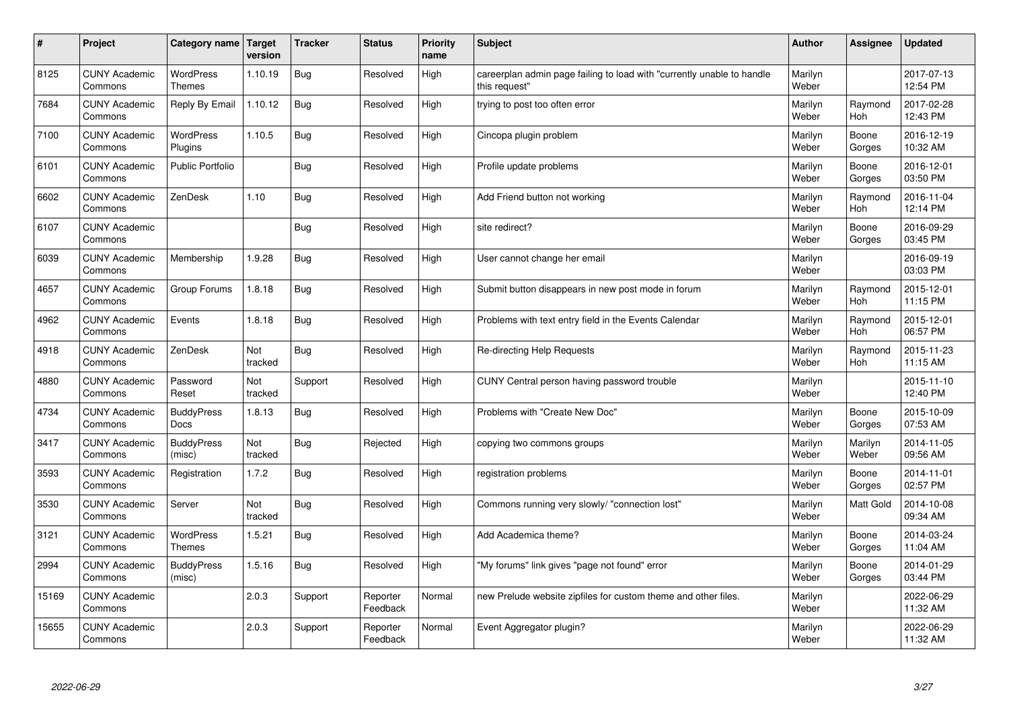| $\sharp$ | Project                         | Category name   Target            | version        | <b>Tracker</b> | <b>Status</b>        | <b>Priority</b><br>name | <b>Subject</b>                                                                          | <b>Author</b>    | Assignee         | <b>Updated</b>         |
|----------|---------------------------------|-----------------------------------|----------------|----------------|----------------------|-------------------------|-----------------------------------------------------------------------------------------|------------------|------------------|------------------------|
| 8125     | <b>CUNY Academic</b><br>Commons | <b>WordPress</b><br><b>Themes</b> | 1.10.19        | Bug            | Resolved             | High                    | careerplan admin page failing to load with "currently unable to handle<br>this request" | Marilyn<br>Weber |                  | 2017-07-13<br>12:54 PM |
| 7684     | <b>CUNY Academic</b><br>Commons | Reply By Email                    | 1.10.12        | Bug            | Resolved             | High                    | trying to post too often error                                                          | Marilyn<br>Weber | Raymond<br>Hoh   | 2017-02-28<br>12:43 PM |
| 7100     | <b>CUNY Academic</b><br>Commons | <b>WordPress</b><br>Plugins       | 1.10.5         | Bug            | Resolved             | High                    | Cincopa plugin problem                                                                  | Marilyn<br>Weber | Boone<br>Gorges  | 2016-12-19<br>10:32 AM |
| 6101     | <b>CUNY Academic</b><br>Commons | <b>Public Portfolio</b>           |                | Bug            | Resolved             | High                    | Profile update problems                                                                 | Marilyn<br>Weber | Boone<br>Gorges  | 2016-12-01<br>03:50 PM |
| 6602     | <b>CUNY Academic</b><br>Commons | ZenDesk                           | 1.10           | Bug            | Resolved             | High                    | Add Friend button not working                                                           | Marilyn<br>Weber | Raymond<br>Hoh   | 2016-11-04<br>12:14 PM |
| 6107     | <b>CUNY Academic</b><br>Commons |                                   |                | Bug            | Resolved             | High                    | site redirect?                                                                          | Marilyn<br>Weber | Boone<br>Gorges  | 2016-09-29<br>03:45 PM |
| 6039     | <b>CUNY Academic</b><br>Commons | Membership                        | 1.9.28         | <b>Bug</b>     | Resolved             | High                    | User cannot change her email                                                            | Marilyn<br>Weber |                  | 2016-09-19<br>03:03 PM |
| 4657     | <b>CUNY Academic</b><br>Commons | Group Forums                      | 1.8.18         | Bug            | Resolved             | High                    | Submit button disappears in new post mode in forum                                      | Marilyn<br>Weber | Raymond<br>Hoh   | 2015-12-01<br>11:15 PM |
| 4962     | <b>CUNY Academic</b><br>Commons | Events                            | 1.8.18         | Bug            | Resolved             | High                    | Problems with text entry field in the Events Calendar                                   | Marilyn<br>Weber | Raymond<br>Hoh   | 2015-12-01<br>06:57 PM |
| 4918     | <b>CUNY Academic</b><br>Commons | ZenDesk                           | Not<br>tracked | Bug            | Resolved             | High                    | Re-directing Help Requests                                                              | Marilyn<br>Weber | Raymond<br>Hoh   | 2015-11-23<br>11:15 AM |
| 4880     | <b>CUNY Academic</b><br>Commons | Password<br>Reset                 | Not<br>tracked | Support        | Resolved             | High                    | CUNY Central person having password trouble                                             | Marilyn<br>Weber |                  | 2015-11-10<br>12:40 PM |
| 4734     | <b>CUNY Academic</b><br>Commons | <b>BuddyPress</b><br>Docs         | 1.8.13         | Bug            | Resolved             | High                    | Problems with "Create New Doc"                                                          | Marilyn<br>Weber | Boone<br>Gorges  | 2015-10-09<br>07:53 AM |
| 3417     | <b>CUNY Academic</b><br>Commons | <b>BuddyPress</b><br>(misc)       | Not<br>tracked | Bug            | Rejected             | High                    | copying two commons groups                                                              | Marilyn<br>Weber | Marilyn<br>Weber | 2014-11-05<br>09:56 AM |
| 3593     | <b>CUNY Academic</b><br>Commons | Registration                      | 1.7.2          | Bug            | Resolved             | High                    | registration problems                                                                   | Marilyn<br>Weber | Boone<br>Gorges  | 2014-11-01<br>02:57 PM |
| 3530     | <b>CUNY Academic</b><br>Commons | Server                            | Not<br>tracked | <b>Bug</b>     | Resolved             | High                    | Commons running very slowly/ "connection lost"                                          | Marilyn<br>Weber | <b>Matt Gold</b> | 2014-10-08<br>09:34 AM |
| 3121     | <b>CUNY Academic</b><br>Commons | WordPress<br><b>Themes</b>        | 1.5.21         | Bug            | Resolved             | High                    | Add Academica theme?                                                                    | Marilyn<br>Weber | Boone<br>Gorges  | 2014-03-24<br>11:04 AM |
| 2994     | <b>CUNY Academic</b><br>Commons | <b>BuddyPress</b><br>(misc)       | 1.5.16         | Bug            | Resolved             | High                    | "My forums" link gives "page not found" error                                           | Marilyn<br>Weber | Boone<br>Gorges  | 2014-01-29<br>03:44 PM |
| 15169    | <b>CUNY Academic</b><br>Commons |                                   | 2.0.3          | Support        | Reporter<br>Feedback | Normal                  | new Prelude website zipfiles for custom theme and other files.                          | Marilyn<br>Weber |                  | 2022-06-29<br>11:32 AM |
| 15655    | <b>CUNY Academic</b><br>Commons |                                   | 2.0.3          | Support        | Reporter<br>Feedback | Normal                  | Event Aggregator plugin?                                                                | Marilyn<br>Weber |                  | 2022-06-29<br>11:32 AM |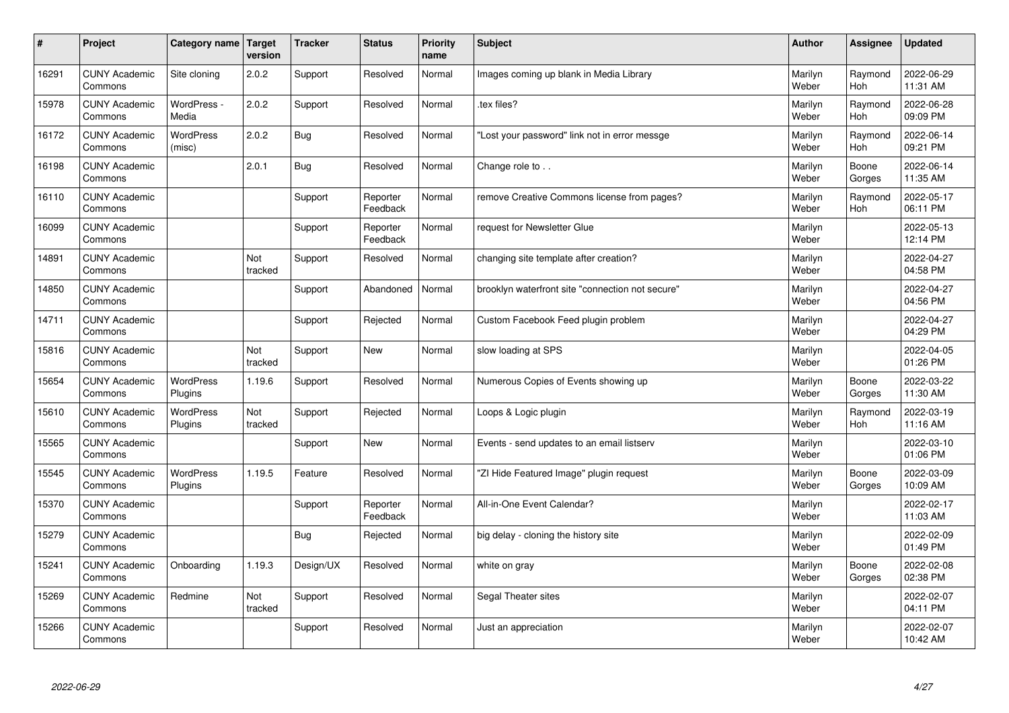| #     | Project                         | <b>Category name</b>        | Target<br>version | <b>Tracker</b> | <b>Status</b>        | <b>Priority</b><br>name | <b>Subject</b>                                   | <b>Author</b>    | Assignee        | <b>Updated</b>         |
|-------|---------------------------------|-----------------------------|-------------------|----------------|----------------------|-------------------------|--------------------------------------------------|------------------|-----------------|------------------------|
| 16291 | <b>CUNY Academic</b><br>Commons | Site cloning                | 2.0.2             | Support        | Resolved             | Normal                  | Images coming up blank in Media Library          | Marilyn<br>Weber | Raymond<br>Hoh  | 2022-06-29<br>11:31 AM |
| 15978 | <b>CUNY Academic</b><br>Commons | WordPress -<br>Media        | 2.0.2             | Support        | Resolved             | Normal                  | tex files?                                       | Marilyn<br>Weber | Raymond<br>Hoh  | 2022-06-28<br>09:09 PM |
| 16172 | <b>CUNY Academic</b><br>Commons | <b>WordPress</b><br>(misc)  | 2.0.2             | Bug            | Resolved             | Normal                  | 'Lost your password" link not in error messge    | Marilyn<br>Weber | Raymond<br>Hoh  | 2022-06-14<br>09:21 PM |
| 16198 | <b>CUNY Academic</b><br>Commons |                             | 2.0.1             | <b>Bug</b>     | Resolved             | Normal                  | Change role to                                   | Marilyn<br>Weber | Boone<br>Gorges | 2022-06-14<br>11:35 AM |
| 16110 | <b>CUNY Academic</b><br>Commons |                             |                   | Support        | Reporter<br>Feedback | Normal                  | remove Creative Commons license from pages?      | Marilyn<br>Weber | Raymond<br>Hoh  | 2022-05-17<br>06:11 PM |
| 16099 | <b>CUNY Academic</b><br>Commons |                             |                   | Support        | Reporter<br>Feedback | Normal                  | request for Newsletter Glue                      | Marilyn<br>Weber |                 | 2022-05-13<br>12:14 PM |
| 14891 | <b>CUNY Academic</b><br>Commons |                             | Not<br>tracked    | Support        | Resolved             | Normal                  | changing site template after creation?           | Marilyn<br>Weber |                 | 2022-04-27<br>04:58 PM |
| 14850 | <b>CUNY Academic</b><br>Commons |                             |                   | Support        | Abandoned            | Normal                  | brooklyn waterfront site "connection not secure" | Marilyn<br>Weber |                 | 2022-04-27<br>04:56 PM |
| 14711 | <b>CUNY Academic</b><br>Commons |                             |                   | Support        | Rejected             | Normal                  | Custom Facebook Feed plugin problem              | Marilyn<br>Weber |                 | 2022-04-27<br>04:29 PM |
| 15816 | <b>CUNY Academic</b><br>Commons |                             | Not<br>tracked    | Support        | <b>New</b>           | Normal                  | slow loading at SPS                              | Marilyn<br>Weber |                 | 2022-04-05<br>01:26 PM |
| 15654 | <b>CUNY Academic</b><br>Commons | WordPress<br>Plugins        | 1.19.6            | Support        | Resolved             | Normal                  | Numerous Copies of Events showing up             | Marilyn<br>Weber | Boone<br>Gorges | 2022-03-22<br>11:30 AM |
| 15610 | <b>CUNY Academic</b><br>Commons | <b>WordPress</b><br>Plugins | Not<br>tracked    | Support        | Rejected             | Normal                  | Loops & Logic plugin                             | Marilyn<br>Weber | Raymond<br>Hoh  | 2022-03-19<br>11:16 AM |
| 15565 | <b>CUNY Academic</b><br>Commons |                             |                   | Support        | <b>New</b>           | Normal                  | Events - send updates to an email listserv       | Marilyn<br>Weber |                 | 2022-03-10<br>01:06 PM |
| 15545 | <b>CUNY Academic</b><br>Commons | WordPress<br>Plugins        | 1.19.5            | Feature        | Resolved             | Normal                  | "ZI Hide Featured Image" plugin request          | Marilyn<br>Weber | Boone<br>Gorges | 2022-03-09<br>10:09 AM |
| 15370 | <b>CUNY Academic</b><br>Commons |                             |                   | Support        | Reporter<br>Feedback | Normal                  | All-in-One Event Calendar?                       | Marilyn<br>Weber |                 | 2022-02-17<br>11:03 AM |
| 15279 | <b>CUNY Academic</b><br>Commons |                             |                   | <b>Bug</b>     | Rejected             | Normal                  | big delay - cloning the history site             | Marilyn<br>Weber |                 | 2022-02-09<br>01:49 PM |
| 15241 | <b>CUNY Academic</b><br>Commons | Onboarding                  | 1.19.3            | Design/UX      | Resolved             | Normal                  | white on gray                                    | Marilyn<br>Weber | Boone<br>Gorges | 2022-02-08<br>02:38 PM |
| 15269 | <b>CUNY Academic</b><br>Commons | Redmine                     | Not<br>tracked    | Support        | Resolved             | Normal                  | Segal Theater sites                              | Marilyn<br>Weber |                 | 2022-02-07<br>04:11 PM |
| 15266 | <b>CUNY Academic</b><br>Commons |                             |                   | Support        | Resolved             | Normal                  | Just an appreciation                             | Marilyn<br>Weber |                 | 2022-02-07<br>10:42 AM |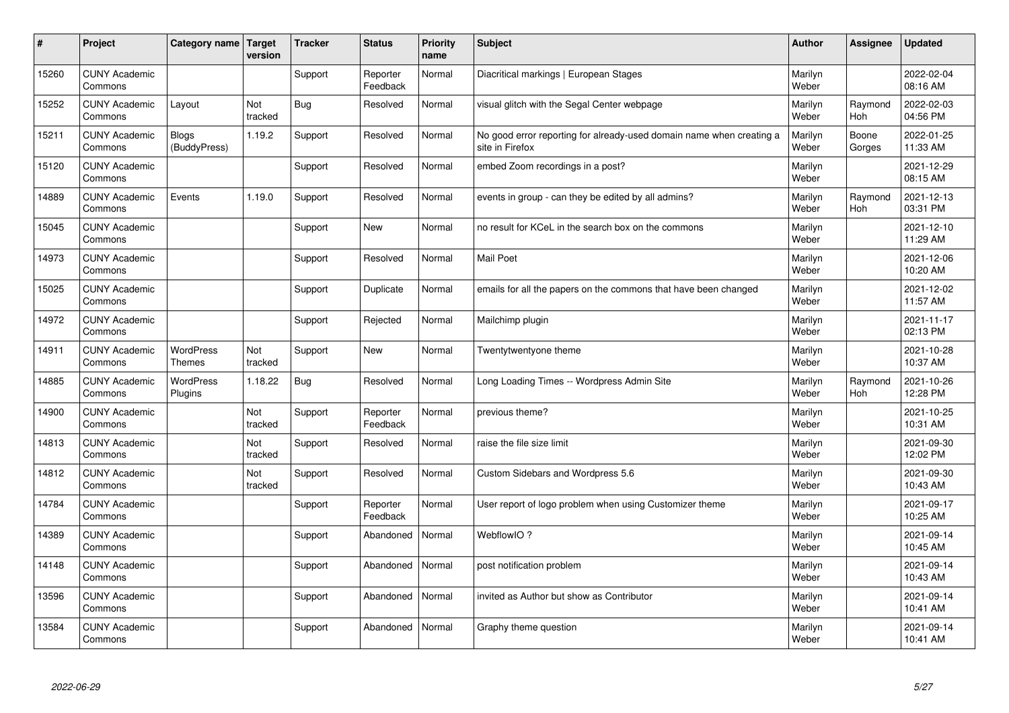| #     | Project                         | Category name Target         | version        | <b>Tracker</b> | <b>Status</b>        | <b>Priority</b><br>name | <b>Subject</b>                                                                          | <b>Author</b>    | Assignee        | <b>Updated</b>         |
|-------|---------------------------------|------------------------------|----------------|----------------|----------------------|-------------------------|-----------------------------------------------------------------------------------------|------------------|-----------------|------------------------|
| 15260 | <b>CUNY Academic</b><br>Commons |                              |                | Support        | Reporter<br>Feedback | Normal                  | Diacritical markings   European Stages                                                  | Marilyn<br>Weber |                 | 2022-02-04<br>08:16 AM |
| 15252 | <b>CUNY Academic</b><br>Commons | Layout                       | Not<br>tracked | Bug            | Resolved             | Normal                  | visual glitch with the Segal Center webpage                                             | Marilyn<br>Weber | Raymond<br>Hoh  | 2022-02-03<br>04:56 PM |
| 15211 | <b>CUNY Academic</b><br>Commons | <b>Blogs</b><br>(BuddyPress) | 1.19.2         | Support        | Resolved             | Normal                  | No good error reporting for already-used domain name when creating a<br>site in Firefox | Marilyn<br>Weber | Boone<br>Gorges | 2022-01-25<br>11:33 AM |
| 15120 | <b>CUNY Academic</b><br>Commons |                              |                | Support        | Resolved             | Normal                  | embed Zoom recordings in a post?                                                        | Marilyn<br>Weber |                 | 2021-12-29<br>08:15 AM |
| 14889 | <b>CUNY Academic</b><br>Commons | Events                       | 1.19.0         | Support        | Resolved             | Normal                  | events in group - can they be edited by all admins?                                     | Marilyn<br>Weber | Raymond<br>Hoh  | 2021-12-13<br>03:31 PM |
| 15045 | <b>CUNY Academic</b><br>Commons |                              |                | Support        | <b>New</b>           | Normal                  | no result for KCeL in the search box on the commons                                     | Marilyn<br>Weber |                 | 2021-12-10<br>11:29 AM |
| 14973 | <b>CUNY Academic</b><br>Commons |                              |                | Support        | Resolved             | Normal                  | <b>Mail Poet</b>                                                                        | Marilyn<br>Weber |                 | 2021-12-06<br>10:20 AM |
| 15025 | <b>CUNY Academic</b><br>Commons |                              |                | Support        | Duplicate            | Normal                  | emails for all the papers on the commons that have been changed                         | Marilyn<br>Weber |                 | 2021-12-02<br>11:57 AM |
| 14972 | <b>CUNY Academic</b><br>Commons |                              |                | Support        | Rejected             | Normal                  | Mailchimp plugin                                                                        | Marilyn<br>Weber |                 | 2021-11-17<br>02:13 PM |
| 14911 | <b>CUNY Academic</b><br>Commons | WordPress<br><b>Themes</b>   | Not<br>tracked | Support        | <b>New</b>           | Normal                  | Twentytwentyone theme                                                                   | Marilyn<br>Weber |                 | 2021-10-28<br>10:37 AM |
| 14885 | <b>CUNY Academic</b><br>Commons | <b>WordPress</b><br>Plugins  | 1.18.22        | <b>Bug</b>     | Resolved             | Normal                  | Long Loading Times -- Wordpress Admin Site                                              | Marilyn<br>Weber | Raymond<br>Hoh  | 2021-10-26<br>12:28 PM |
| 14900 | <b>CUNY Academic</b><br>Commons |                              | Not<br>tracked | Support        | Reporter<br>Feedback | Normal                  | previous theme?                                                                         | Marilyn<br>Weber |                 | 2021-10-25<br>10:31 AM |
| 14813 | <b>CUNY Academic</b><br>Commons |                              | Not<br>tracked | Support        | Resolved             | Normal                  | raise the file size limit                                                               | Marilyn<br>Weber |                 | 2021-09-30<br>12:02 PM |
| 14812 | <b>CUNY Academic</b><br>Commons |                              | Not<br>tracked | Support        | Resolved             | Normal                  | Custom Sidebars and Wordpress 5.6                                                       | Marilyn<br>Weber |                 | 2021-09-30<br>10:43 AM |
| 14784 | <b>CUNY Academic</b><br>Commons |                              |                | Support        | Reporter<br>Feedback | Normal                  | User report of logo problem when using Customizer theme                                 | Marilyn<br>Weber |                 | 2021-09-17<br>10:25 AM |
| 14389 | <b>CUNY Academic</b><br>Commons |                              |                | Support        | Abandoned            | Normal                  | WebflowIO?                                                                              | Marilyn<br>Weber |                 | 2021-09-14<br>10:45 AM |
| 14148 | <b>CUNY Academic</b><br>Commons |                              |                | Support        | Abandoned            | Normal                  | post notification problem                                                               | Marilyn<br>Weber |                 | 2021-09-14<br>10:43 AM |
| 13596 | <b>CUNY Academic</b><br>Commons |                              |                | Support        | Abandoned            | Normal                  | invited as Author but show as Contributor                                               | Marilyn<br>Weber |                 | 2021-09-14<br>10:41 AM |
| 13584 | <b>CUNY Academic</b><br>Commons |                              |                | Support        | Abandoned            | Normal                  | Graphy theme question                                                                   | Marilyn<br>Weber |                 | 2021-09-14<br>10:41 AM |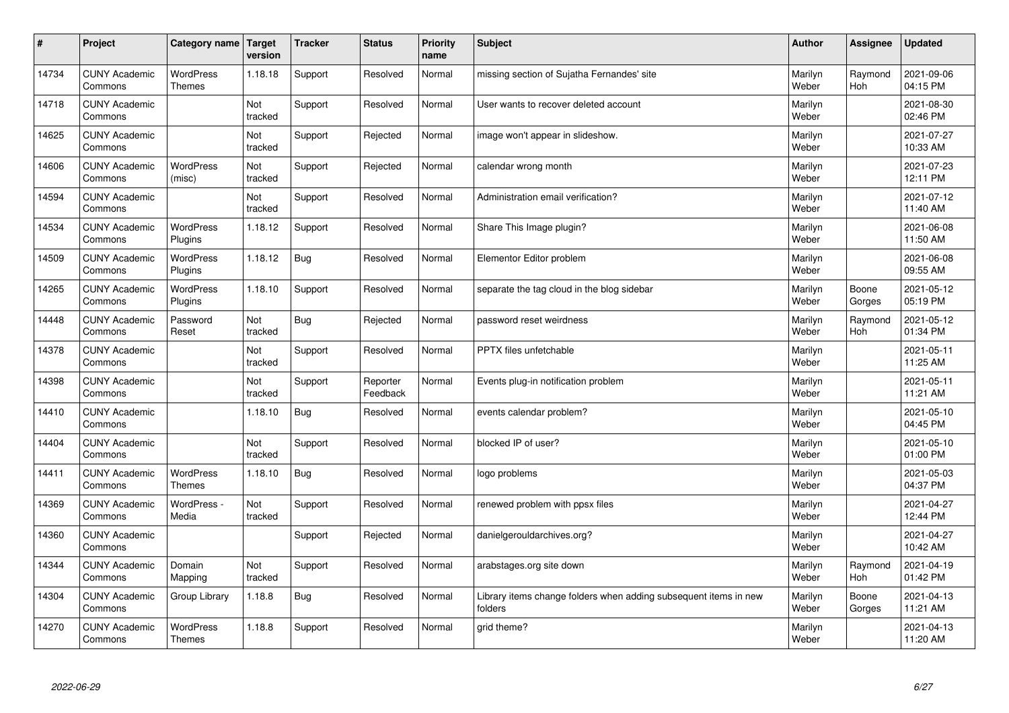| $\sharp$ | Project                         | <b>Category name</b>              | Target<br>version | <b>Tracker</b> | <b>Status</b>        | <b>Priority</b><br>name | <b>Subject</b>                                                              | <b>Author</b>    | Assignee              | <b>Updated</b>         |
|----------|---------------------------------|-----------------------------------|-------------------|----------------|----------------------|-------------------------|-----------------------------------------------------------------------------|------------------|-----------------------|------------------------|
| 14734    | <b>CUNY Academic</b><br>Commons | <b>WordPress</b><br><b>Themes</b> | 1.18.18           | Support        | Resolved             | Normal                  | missing section of Sujatha Fernandes' site                                  | Marilyn<br>Weber | Raymond<br><b>Hoh</b> | 2021-09-06<br>04:15 PM |
| 14718    | <b>CUNY Academic</b><br>Commons |                                   | Not<br>tracked    | Support        | Resolved             | Normal                  | User wants to recover deleted account                                       | Marilyn<br>Weber |                       | 2021-08-30<br>02:46 PM |
| 14625    | <b>CUNY Academic</b><br>Commons |                                   | Not<br>tracked    | Support        | Rejected             | Normal                  | image won't appear in slideshow.                                            | Marilyn<br>Weber |                       | 2021-07-27<br>10:33 AM |
| 14606    | <b>CUNY Academic</b><br>Commons | <b>WordPress</b><br>(misc)        | Not<br>tracked    | Support        | Rejected             | Normal                  | calendar wrong month                                                        | Marilyn<br>Weber |                       | 2021-07-23<br>12:11 PM |
| 14594    | <b>CUNY Academic</b><br>Commons |                                   | Not<br>tracked    | Support        | Resolved             | Normal                  | Administration email verification?                                          | Marilyn<br>Weber |                       | 2021-07-12<br>11:40 AM |
| 14534    | <b>CUNY Academic</b><br>Commons | WordPress<br>Plugins              | 1.18.12           | Support        | Resolved             | Normal                  | Share This Image plugin?                                                    | Marilyn<br>Weber |                       | 2021-06-08<br>11:50 AM |
| 14509    | <b>CUNY Academic</b><br>Commons | WordPress<br>Plugins              | 1.18.12           | <b>Bug</b>     | Resolved             | Normal                  | Elementor Editor problem                                                    | Marilyn<br>Weber |                       | 2021-06-08<br>09:55 AM |
| 14265    | <b>CUNY Academic</b><br>Commons | <b>WordPress</b><br>Plugins       | 1.18.10           | Support        | Resolved             | Normal                  | separate the tag cloud in the blog sidebar                                  | Marilyn<br>Weber | Boone<br>Gorges       | 2021-05-12<br>05:19 PM |
| 14448    | <b>CUNY Academic</b><br>Commons | Password<br>Reset                 | Not<br>tracked    | Bug            | Rejected             | Normal                  | password reset weirdness                                                    | Marilyn<br>Weber | Raymond<br><b>Hoh</b> | 2021-05-12<br>01:34 PM |
| 14378    | <b>CUNY Academic</b><br>Commons |                                   | Not<br>tracked    | Support        | Resolved             | Normal                  | PPTX files unfetchable                                                      | Marilyn<br>Weber |                       | 2021-05-11<br>11:25 AM |
| 14398    | <b>CUNY Academic</b><br>Commons |                                   | Not<br>tracked    | Support        | Reporter<br>Feedback | Normal                  | Events plug-in notification problem                                         | Marilyn<br>Weber |                       | 2021-05-11<br>11:21 AM |
| 14410    | <b>CUNY Academic</b><br>Commons |                                   | 1.18.10           | <b>Bug</b>     | Resolved             | Normal                  | events calendar problem?                                                    | Marilyn<br>Weber |                       | 2021-05-10<br>04:45 PM |
| 14404    | <b>CUNY Academic</b><br>Commons |                                   | Not<br>tracked    | Support        | Resolved             | Normal                  | blocked IP of user?                                                         | Marilyn<br>Weber |                       | 2021-05-10<br>01:00 PM |
| 14411    | <b>CUNY Academic</b><br>Commons | <b>WordPress</b><br><b>Themes</b> | 1.18.10           | Bug            | Resolved             | Normal                  | logo problems                                                               | Marilyn<br>Weber |                       | 2021-05-03<br>04:37 PM |
| 14369    | <b>CUNY Academic</b><br>Commons | WordPress -<br>Media              | Not<br>tracked    | Support        | Resolved             | Normal                  | renewed problem with ppsx files                                             | Marilyn<br>Weber |                       | 2021-04-27<br>12:44 PM |
| 14360    | <b>CUNY Academic</b><br>Commons |                                   |                   | Support        | Rejected             | Normal                  | danielgerouldarchives.org?                                                  | Marilyn<br>Weber |                       | 2021-04-27<br>10:42 AM |
| 14344    | <b>CUNY Academic</b><br>Commons | Domain<br>Mapping                 | Not<br>tracked    | Support        | Resolved             | Normal                  | arabstages.org site down                                                    | Marilyn<br>Weber | Raymond<br>Hoh        | 2021-04-19<br>01:42 PM |
| 14304    | <b>CUNY Academic</b><br>Commons | Group Library                     | 1.18.8            | <b>Bug</b>     | Resolved             | Normal                  | Library items change folders when adding subsequent items in new<br>folders | Marilyn<br>Weber | Boone<br>Gorges       | 2021-04-13<br>11:21 AM |
| 14270    | <b>CUNY Academic</b><br>Commons | <b>WordPress</b><br><b>Themes</b> | 1.18.8            | Support        | Resolved             | Normal                  | grid theme?                                                                 | Marilyn<br>Weber |                       | 2021-04-13<br>11:20 AM |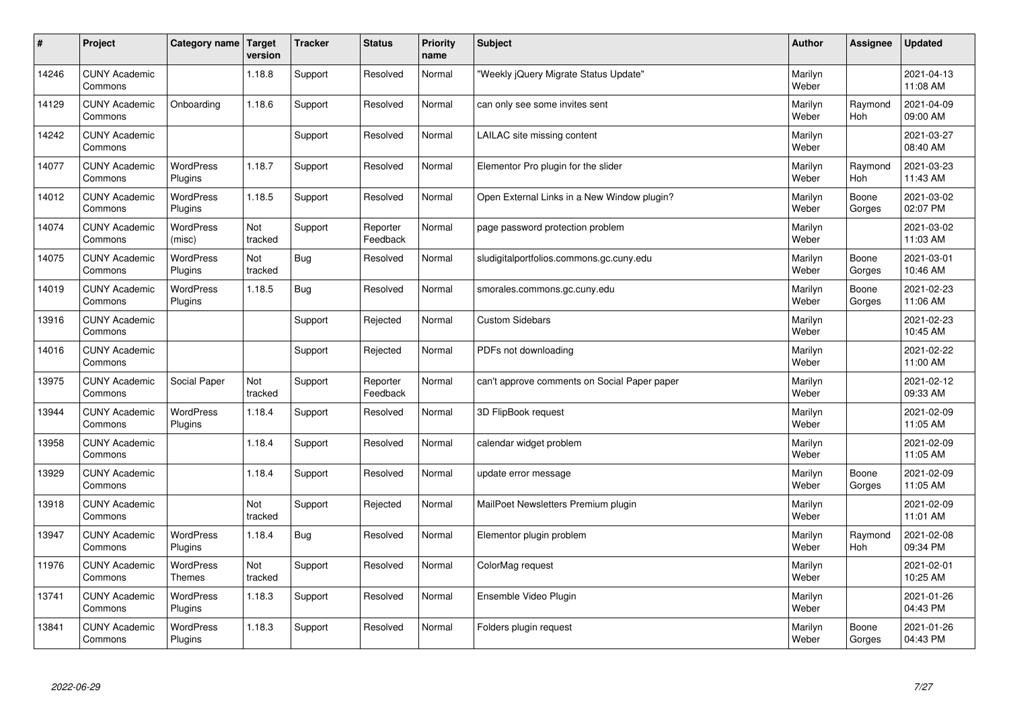| #     | Project                         | Category name   Target      | version        | <b>Tracker</b> | <b>Status</b>        | <b>Priority</b><br>name | <b>Subject</b>                               | <b>Author</b>    | Assignee        | <b>Updated</b>         |
|-------|---------------------------------|-----------------------------|----------------|----------------|----------------------|-------------------------|----------------------------------------------|------------------|-----------------|------------------------|
| 14246 | <b>CUNY Academic</b><br>Commons |                             | 1.18.8         | Support        | Resolved             | Normal                  | 'Weekly jQuery Migrate Status Update"        | Marilyn<br>Weber |                 | 2021-04-13<br>11:08 AM |
| 14129 | <b>CUNY Academic</b><br>Commons | Onboarding                  | 1.18.6         | Support        | Resolved             | Normal                  | can only see some invites sent               | Marilyn<br>Weber | Raymond<br>Hoh  | 2021-04-09<br>09:00 AM |
| 14242 | <b>CUNY Academic</b><br>Commons |                             |                | Support        | Resolved             | Normal                  | LAILAC site missing content                  | Marilyn<br>Weber |                 | 2021-03-27<br>08:40 AM |
| 14077 | <b>CUNY Academic</b><br>Commons | <b>WordPress</b><br>Plugins | 1.18.7         | Support        | Resolved             | Normal                  | Elementor Pro plugin for the slider          | Marilyn<br>Weber | Raymond<br>Hoh  | 2021-03-23<br>11:43 AM |
| 14012 | <b>CUNY Academic</b><br>Commons | <b>WordPress</b><br>Plugins | 1.18.5         | Support        | Resolved             | Normal                  | Open External Links in a New Window plugin?  | Marilyn<br>Weber | Boone<br>Gorges | 2021-03-02<br>02:07 PM |
| 14074 | <b>CUNY Academic</b><br>Commons | <b>WordPress</b><br>(misc)  | Not<br>tracked | Support        | Reporter<br>Feedback | Normal                  | page password protection problem             | Marilyn<br>Weber |                 | 2021-03-02<br>11:03 AM |
| 14075 | <b>CUNY Academic</b><br>Commons | <b>WordPress</b><br>Plugins | Not<br>tracked | <b>Bug</b>     | Resolved             | Normal                  | sludigitalportfolios.commons.gc.cuny.edu     | Marilyn<br>Weber | Boone<br>Gorges | 2021-03-01<br>10:46 AM |
| 14019 | <b>CUNY Academic</b><br>Commons | WordPress<br>Plugins        | 1.18.5         | <b>Bug</b>     | Resolved             | Normal                  | smorales.commons.gc.cuny.edu                 | Marilyn<br>Weber | Boone<br>Gorges | 2021-02-23<br>11:06 AM |
| 13916 | <b>CUNY Academic</b><br>Commons |                             |                | Support        | Rejected             | Normal                  | <b>Custom Sidebars</b>                       | Marilyn<br>Weber |                 | 2021-02-23<br>10:45 AM |
| 14016 | <b>CUNY Academic</b><br>Commons |                             |                | Support        | Rejected             | Normal                  | PDFs not downloading                         | Marilyn<br>Weber |                 | 2021-02-22<br>11:00 AM |
| 13975 | <b>CUNY Academic</b><br>Commons | Social Paper                | Not<br>tracked | Support        | Reporter<br>Feedback | Normal                  | can't approve comments on Social Paper paper | Marilyn<br>Weber |                 | 2021-02-12<br>09:33 AM |
| 13944 | <b>CUNY Academic</b><br>Commons | WordPress<br>Plugins        | 1.18.4         | Support        | Resolved             | Normal                  | 3D FlipBook request                          | Marilyn<br>Weber |                 | 2021-02-09<br>11:05 AM |
| 13958 | <b>CUNY Academic</b><br>Commons |                             | 1.18.4         | Support        | Resolved             | Normal                  | calendar widget problem                      | Marilyn<br>Weber |                 | 2021-02-09<br>11:05 AM |
| 13929 | <b>CUNY Academic</b><br>Commons |                             | 1.18.4         | Support        | Resolved             | Normal                  | update error message                         | Marilyn<br>Weber | Boone<br>Gorges | 2021-02-09<br>11:05 AM |
| 13918 | <b>CUNY Academic</b><br>Commons |                             | Not<br>tracked | Support        | Rejected             | Normal                  | MailPoet Newsletters Premium plugin          | Marilyn<br>Weber |                 | 2021-02-09<br>11:01 AM |
| 13947 | <b>CUNY Academic</b><br>Commons | <b>WordPress</b><br>Plugins | 1.18.4         | Bug            | Resolved             | Normal                  | Elementor plugin problem                     | Marilyn<br>Weber | Raymond<br>Hoh  | 2021-02-08<br>09:34 PM |
| 11976 | <b>CUNY Academic</b><br>Commons | WordPress<br><b>Themes</b>  | Not<br>tracked | Support        | Resolved             | Normal                  | ColorMag request                             | Marilyn<br>Weber |                 | 2021-02-01<br>10:25 AM |
| 13741 | <b>CUNY Academic</b><br>Commons | <b>WordPress</b><br>Plugins | 1.18.3         | Support        | Resolved             | Normal                  | Ensemble Video Plugin                        | Marilyn<br>Weber |                 | 2021-01-26<br>04:43 PM |
| 13841 | <b>CUNY Academic</b><br>Commons | WordPress<br>Plugins        | 1.18.3         | Support        | Resolved             | Normal                  | Folders plugin request                       | Marilyn<br>Weber | Boone<br>Gorges | 2021-01-26<br>04:43 PM |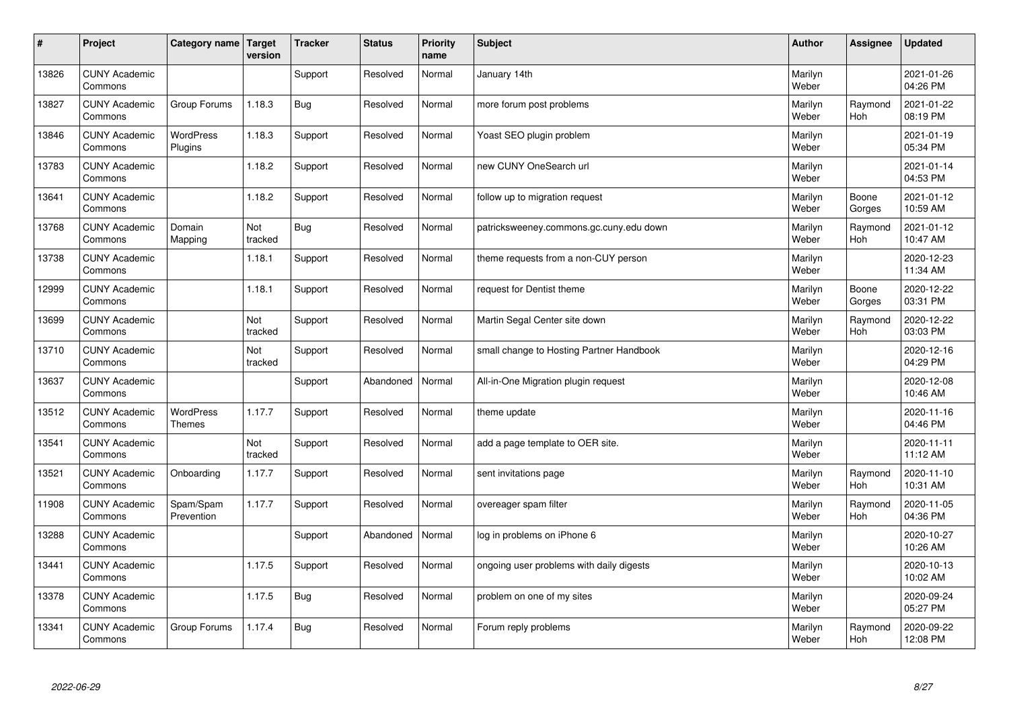| $\sharp$ | Project                         | Category name   Target      | version        | <b>Tracker</b> | <b>Status</b> | <b>Priority</b><br>name | <b>Subject</b>                           | <b>Author</b>    | Assignee              | <b>Updated</b>         |
|----------|---------------------------------|-----------------------------|----------------|----------------|---------------|-------------------------|------------------------------------------|------------------|-----------------------|------------------------|
| 13826    | <b>CUNY Academic</b><br>Commons |                             |                | Support        | Resolved      | Normal                  | January 14th                             | Marilyn<br>Weber |                       | 2021-01-26<br>04:26 PM |
| 13827    | <b>CUNY Academic</b><br>Commons | Group Forums                | 1.18.3         | Bug            | Resolved      | Normal                  | more forum post problems                 | Marilyn<br>Weber | Raymond<br><b>Hoh</b> | 2021-01-22<br>08:19 PM |
| 13846    | <b>CUNY Academic</b><br>Commons | <b>WordPress</b><br>Plugins | 1.18.3         | Support        | Resolved      | Normal                  | Yoast SEO plugin problem                 | Marilyn<br>Weber |                       | 2021-01-19<br>05:34 PM |
| 13783    | <b>CUNY Academic</b><br>Commons |                             | 1.18.2         | Support        | Resolved      | Normal                  | new CUNY OneSearch url                   | Marilyn<br>Weber |                       | 2021-01-14<br>04:53 PM |
| 13641    | <b>CUNY Academic</b><br>Commons |                             | 1.18.2         | Support        | Resolved      | Normal                  | follow up to migration request           | Marilyn<br>Weber | Boone<br>Gorges       | 2021-01-12<br>10:59 AM |
| 13768    | <b>CUNY Academic</b><br>Commons | Domain<br>Mapping           | Not<br>tracked | <b>Bug</b>     | Resolved      | Normal                  | patricksweeney.commons.gc.cuny.edu down  | Marilyn<br>Weber | Raymond<br>Hoh        | 2021-01-12<br>10:47 AM |
| 13738    | <b>CUNY Academic</b><br>Commons |                             | 1.18.1         | Support        | Resolved      | Normal                  | theme requests from a non-CUY person     | Marilyn<br>Weber |                       | 2020-12-23<br>11:34 AM |
| 12999    | <b>CUNY Academic</b><br>Commons |                             | 1.18.1         | Support        | Resolved      | Normal                  | request for Dentist theme                | Marilyn<br>Weber | Boone<br>Gorges       | 2020-12-22<br>03:31 PM |
| 13699    | <b>CUNY Academic</b><br>Commons |                             | Not<br>tracked | Support        | Resolved      | Normal                  | Martin Segal Center site down            | Marilyn<br>Weber | Raymond<br>Hoh        | 2020-12-22<br>03:03 PM |
| 13710    | <b>CUNY Academic</b><br>Commons |                             | Not<br>tracked | Support        | Resolved      | Normal                  | small change to Hosting Partner Handbook | Marilyn<br>Weber |                       | 2020-12-16<br>04:29 PM |
| 13637    | <b>CUNY Academic</b><br>Commons |                             |                | Support        | Abandoned     | Normal                  | All-in-One Migration plugin request      | Marilyn<br>Weber |                       | 2020-12-08<br>10:46 AM |
| 13512    | <b>CUNY Academic</b><br>Commons | WordPress<br><b>Themes</b>  | 1.17.7         | Support        | Resolved      | Normal                  | theme update                             | Marilyn<br>Weber |                       | 2020-11-16<br>04:46 PM |
| 13541    | <b>CUNY Academic</b><br>Commons |                             | Not<br>tracked | Support        | Resolved      | Normal                  | add a page template to OER site.         | Marilyn<br>Weber |                       | 2020-11-11<br>11:12 AM |
| 13521    | <b>CUNY Academic</b><br>Commons | Onboarding                  | 1.17.7         | Support        | Resolved      | Normal                  | sent invitations page                    | Marilyn<br>Weber | Raymond<br>Hoh        | 2020-11-10<br>10:31 AM |
| 11908    | <b>CUNY Academic</b><br>Commons | Spam/Spam<br>Prevention     | 1.17.7         | Support        | Resolved      | Normal                  | overeager spam filter                    | Marilyn<br>Weber | Raymond<br>Hoh        | 2020-11-05<br>04:36 PM |
| 13288    | <b>CUNY Academic</b><br>Commons |                             |                | Support        | Abandoned     | Normal                  | log in problems on iPhone 6              | Marilyn<br>Weber |                       | 2020-10-27<br>10:26 AM |
| 13441    | <b>CUNY Academic</b><br>Commons |                             | 1.17.5         | Support        | Resolved      | Normal                  | ongoing user problems with daily digests | Marilyn<br>Weber |                       | 2020-10-13<br>10:02 AM |
| 13378    | <b>CUNY Academic</b><br>Commons |                             | 1.17.5         | Bug            | Resolved      | Normal                  | problem on one of my sites               | Marilyn<br>Weber |                       | 2020-09-24<br>05:27 PM |
| 13341    | <b>CUNY Academic</b><br>Commons | Group Forums                | 1.17.4         | Bug            | Resolved      | Normal                  | Forum reply problems                     | Marilyn<br>Weber | Raymond<br>Hoh        | 2020-09-22<br>12:08 PM |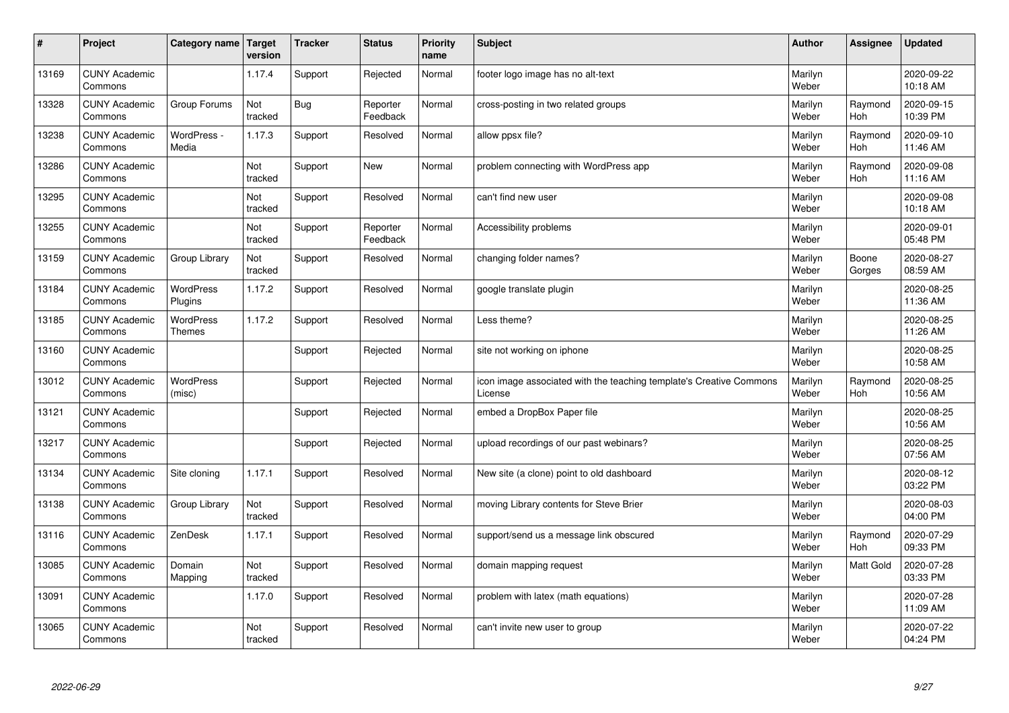| #     | Project                         | Category name   Target     | version        | <b>Tracker</b> | <b>Status</b>        | <b>Priority</b><br>name | <b>Subject</b>                                                                 | <b>Author</b>    | Assignee              | <b>Updated</b>         |
|-------|---------------------------------|----------------------------|----------------|----------------|----------------------|-------------------------|--------------------------------------------------------------------------------|------------------|-----------------------|------------------------|
| 13169 | <b>CUNY Academic</b><br>Commons |                            | 1.17.4         | Support        | Rejected             | Normal                  | footer logo image has no alt-text                                              | Marilyn<br>Weber |                       | 2020-09-22<br>10:18 AM |
| 13328 | <b>CUNY Academic</b><br>Commons | Group Forums               | Not<br>tracked | Bug            | Reporter<br>Feedback | Normal                  | cross-posting in two related groups                                            | Marilyn<br>Weber | Raymond<br>Hoh        | 2020-09-15<br>10:39 PM |
| 13238 | <b>CUNY Academic</b><br>Commons | WordPress -<br>Media       | 1.17.3         | Support        | Resolved             | Normal                  | allow ppsx file?                                                               | Marilyn<br>Weber | Raymond<br><b>Hoh</b> | 2020-09-10<br>11:46 AM |
| 13286 | <b>CUNY Academic</b><br>Commons |                            | Not<br>tracked | Support        | <b>New</b>           | Normal                  | problem connecting with WordPress app                                          | Marilyn<br>Weber | Raymond<br>Hoh        | 2020-09-08<br>11:16 AM |
| 13295 | <b>CUNY Academic</b><br>Commons |                            | Not<br>tracked | Support        | Resolved             | Normal                  | can't find new user                                                            | Marilyn<br>Weber |                       | 2020-09-08<br>10:18 AM |
| 13255 | <b>CUNY Academic</b><br>Commons |                            | Not<br>tracked | Support        | Reporter<br>Feedback | Normal                  | Accessibility problems                                                         | Marilyn<br>Weber |                       | 2020-09-01<br>05:48 PM |
| 13159 | <b>CUNY Academic</b><br>Commons | Group Library              | Not<br>tracked | Support        | Resolved             | Normal                  | changing folder names?                                                         | Marilyn<br>Weber | Boone<br>Gorges       | 2020-08-27<br>08:59 AM |
| 13184 | <b>CUNY Academic</b><br>Commons | WordPress<br>Plugins       | 1.17.2         | Support        | Resolved             | Normal                  | google translate plugin                                                        | Marilyn<br>Weber |                       | 2020-08-25<br>11:36 AM |
| 13185 | <b>CUNY Academic</b><br>Commons | <b>WordPress</b><br>Themes | 1.17.2         | Support        | Resolved             | Normal                  | Less theme?                                                                    | Marilyn<br>Weber |                       | 2020-08-25<br>11:26 AM |
| 13160 | <b>CUNY Academic</b><br>Commons |                            |                | Support        | Rejected             | Normal                  | site not working on iphone                                                     | Marilyn<br>Weber |                       | 2020-08-25<br>10:58 AM |
| 13012 | <b>CUNY Academic</b><br>Commons | <b>WordPress</b><br>(misc) |                | Support        | Rejected             | Normal                  | icon image associated with the teaching template's Creative Commons<br>License | Marilyn<br>Weber | Raymond<br>Hoh        | 2020-08-25<br>10:56 AM |
| 13121 | <b>CUNY Academic</b><br>Commons |                            |                | Support        | Rejected             | Normal                  | embed a DropBox Paper file                                                     | Marilyn<br>Weber |                       | 2020-08-25<br>10:56 AM |
| 13217 | <b>CUNY Academic</b><br>Commons |                            |                | Support        | Rejected             | Normal                  | upload recordings of our past webinars?                                        | Marilyn<br>Weber |                       | 2020-08-25<br>07:56 AM |
| 13134 | <b>CUNY Academic</b><br>Commons | Site cloning               | 1.17.1         | Support        | Resolved             | Normal                  | New site (a clone) point to old dashboard                                      | Marilyn<br>Weber |                       | 2020-08-12<br>03:22 PM |
| 13138 | <b>CUNY Academic</b><br>Commons | Group Library              | Not<br>tracked | Support        | Resolved             | Normal                  | moving Library contents for Steve Brier                                        | Marilyn<br>Weber |                       | 2020-08-03<br>04:00 PM |
| 13116 | <b>CUNY Academic</b><br>Commons | ZenDesk                    | 1.17.1         | Support        | Resolved             | Normal                  | support/send us a message link obscured                                        | Marilyn<br>Weber | Raymond<br>Hoh        | 2020-07-29<br>09:33 PM |
| 13085 | <b>CUNY Academic</b><br>Commons | Domain<br>Mapping          | Not<br>tracked | Support        | Resolved             | Normal                  | domain mapping request                                                         | Marilyn<br>Weber | <b>Matt Gold</b>      | 2020-07-28<br>03:33 PM |
| 13091 | <b>CUNY Academic</b><br>Commons |                            | 1.17.0         | Support        | Resolved             | Normal                  | problem with latex (math equations)                                            | Marilyn<br>Weber |                       | 2020-07-28<br>11:09 AM |
| 13065 | <b>CUNY Academic</b><br>Commons |                            | Not<br>tracked | Support        | Resolved             | Normal                  | can't invite new user to group                                                 | Marilyn<br>Weber |                       | 2020-07-22<br>04:24 PM |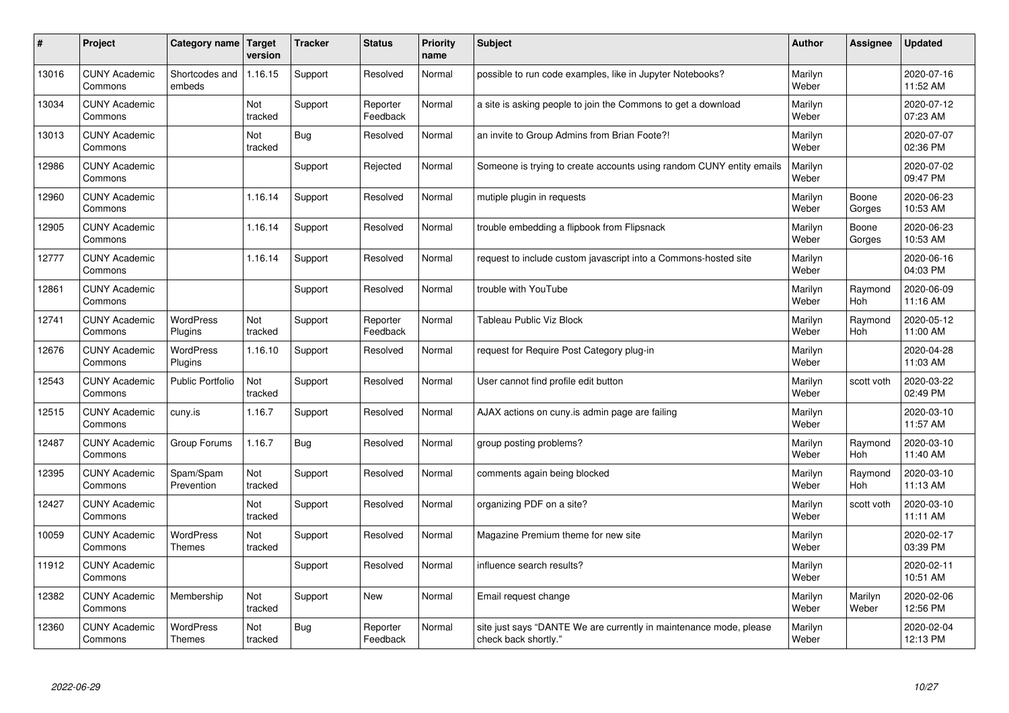| $\sharp$ | Project                         | Category name   Target            | version        | <b>Tracker</b> | <b>Status</b>        | <b>Priority</b><br>name | <b>Subject</b>                                                                             | <b>Author</b>    | Assignee         | <b>Updated</b>         |
|----------|---------------------------------|-----------------------------------|----------------|----------------|----------------------|-------------------------|--------------------------------------------------------------------------------------------|------------------|------------------|------------------------|
| 13016    | <b>CUNY Academic</b><br>Commons | Shortcodes and<br>embeds          | 1.16.15        | Support        | Resolved             | Normal                  | possible to run code examples, like in Jupyter Notebooks?                                  | Marilyn<br>Weber |                  | 2020-07-16<br>11:52 AM |
| 13034    | <b>CUNY Academic</b><br>Commons |                                   | Not<br>tracked | Support        | Reporter<br>Feedback | Normal                  | a site is asking people to join the Commons to get a download                              | Marilyn<br>Weber |                  | 2020-07-12<br>07:23 AM |
| 13013    | <b>CUNY Academic</b><br>Commons |                                   | Not<br>tracked | Bug            | Resolved             | Normal                  | an invite to Group Admins from Brian Foote?!                                               | Marilyn<br>Weber |                  | 2020-07-07<br>02:36 PM |
| 12986    | <b>CUNY Academic</b><br>Commons |                                   |                | Support        | Rejected             | Normal                  | Someone is trying to create accounts using random CUNY entity emails                       | Marilyn<br>Weber |                  | 2020-07-02<br>09:47 PM |
| 12960    | <b>CUNY Academic</b><br>Commons |                                   | 1.16.14        | Support        | Resolved             | Normal                  | mutiple plugin in requests                                                                 | Marilyn<br>Weber | Boone<br>Gorges  | 2020-06-23<br>10:53 AM |
| 12905    | <b>CUNY Academic</b><br>Commons |                                   | 1.16.14        | Support        | Resolved             | Normal                  | trouble embedding a flipbook from Flipsnack                                                | Marilyn<br>Weber | Boone<br>Gorges  | 2020-06-23<br>10:53 AM |
| 12777    | <b>CUNY Academic</b><br>Commons |                                   | 1.16.14        | Support        | Resolved             | Normal                  | request to include custom javascript into a Commons-hosted site                            | Marilyn<br>Weber |                  | 2020-06-16<br>04:03 PM |
| 12861    | <b>CUNY Academic</b><br>Commons |                                   |                | Support        | Resolved             | Normal                  | trouble with YouTube                                                                       | Marilyn<br>Weber | Raymond<br>Hoh   | 2020-06-09<br>11:16 AM |
| 12741    | <b>CUNY Academic</b><br>Commons | <b>WordPress</b><br>Plugins       | Not<br>tracked | Support        | Reporter<br>Feedback | Normal                  | <b>Tableau Public Viz Block</b>                                                            | Marilyn<br>Weber | Raymond<br>Hoh   | 2020-05-12<br>11:00 AM |
| 12676    | <b>CUNY Academic</b><br>Commons | <b>WordPress</b><br>Plugins       | 1.16.10        | Support        | Resolved             | Normal                  | request for Require Post Category plug-in                                                  | Marilyn<br>Weber |                  | 2020-04-28<br>11:03 AM |
| 12543    | <b>CUNY Academic</b><br>Commons | <b>Public Portfolio</b>           | Not<br>tracked | Support        | Resolved             | Normal                  | User cannot find profile edit button                                                       | Marilyn<br>Weber | scott voth       | 2020-03-22<br>02:49 PM |
| 12515    | <b>CUNY Academic</b><br>Commons | cuny.is                           | 1.16.7         | Support        | Resolved             | Normal                  | AJAX actions on cuny is admin page are failing                                             | Marilyn<br>Weber |                  | 2020-03-10<br>11:57 AM |
| 12487    | <b>CUNY Academic</b><br>Commons | Group Forums                      | 1.16.7         | Bug            | Resolved             | Normal                  | group posting problems?                                                                    | Marilyn<br>Weber | Raymond<br>Hoh   | 2020-03-10<br>11:40 AM |
| 12395    | <b>CUNY Academic</b><br>Commons | Spam/Spam<br>Prevention           | Not<br>tracked | Support        | Resolved             | Normal                  | comments again being blocked                                                               | Marilyn<br>Weber | Raymond<br>Hoh   | 2020-03-10<br>11:13 AM |
| 12427    | <b>CUNY Academic</b><br>Commons |                                   | Not<br>tracked | Support        | Resolved             | Normal                  | organizing PDF on a site?                                                                  | Marilyn<br>Weber | scott voth       | 2020-03-10<br>11:11 AM |
| 10059    | <b>CUNY Academic</b><br>Commons | <b>WordPress</b><br><b>Themes</b> | Not<br>tracked | Support        | Resolved             | Normal                  | Magazine Premium theme for new site                                                        | Marilyn<br>Weber |                  | 2020-02-17<br>03:39 PM |
| 11912    | <b>CUNY Academic</b><br>Commons |                                   |                | Support        | Resolved             | Normal                  | influence search results?                                                                  | Marilyn<br>Weber |                  | 2020-02-11<br>10:51 AM |
| 12382    | <b>CUNY Academic</b><br>Commons | Membership                        | Not<br>tracked | Support        | <b>New</b>           | Normal                  | Email request change                                                                       | Marilyn<br>Weber | Marilyn<br>Weber | 2020-02-06<br>12:56 PM |
| 12360    | <b>CUNY Academic</b><br>Commons | <b>WordPress</b><br><b>Themes</b> | Not<br>tracked | <b>Bug</b>     | Reporter<br>Feedback | Normal                  | site just says "DANTE We are currently in maintenance mode, please<br>check back shortly." | Marilyn<br>Weber |                  | 2020-02-04<br>12:13 PM |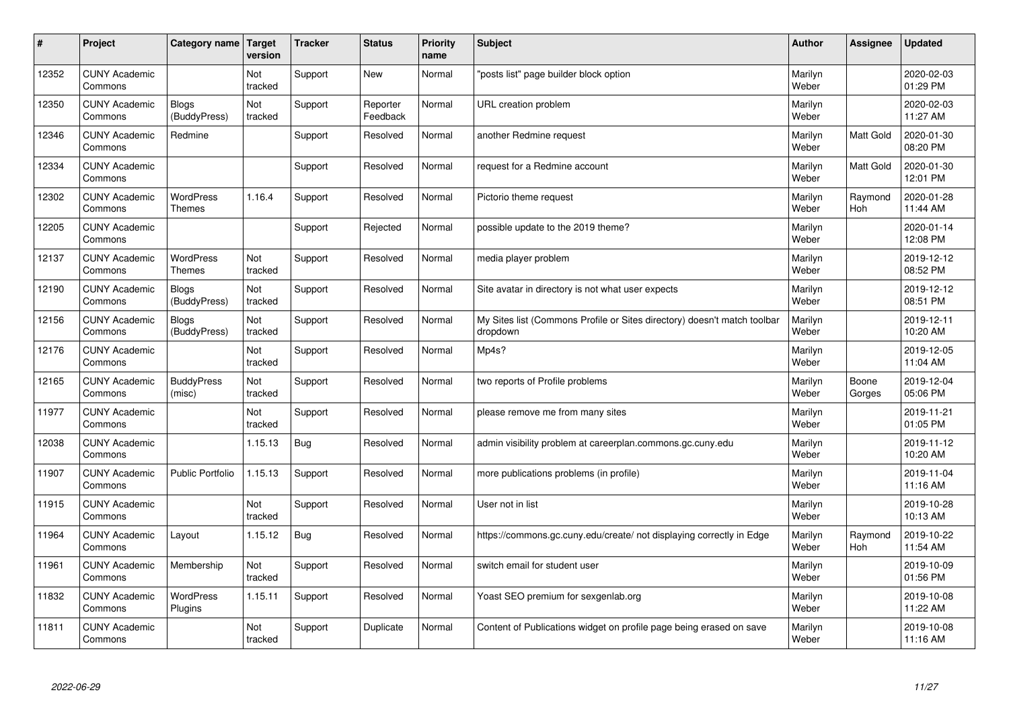| #     | Project                         | Category name   Target            | version        | <b>Tracker</b> | <b>Status</b>        | <b>Priority</b><br>name | <b>Subject</b>                                                                       | <b>Author</b>    | Assignee         | <b>Updated</b>         |
|-------|---------------------------------|-----------------------------------|----------------|----------------|----------------------|-------------------------|--------------------------------------------------------------------------------------|------------------|------------------|------------------------|
| 12352 | <b>CUNY Academic</b><br>Commons |                                   | Not<br>tracked | Support        | <b>New</b>           | Normal                  | 'posts list" page builder block option                                               | Marilyn<br>Weber |                  | 2020-02-03<br>01:29 PM |
| 12350 | <b>CUNY Academic</b><br>Commons | <b>Blogs</b><br>(BuddyPress)      | Not<br>tracked | Support        | Reporter<br>Feedback | Normal                  | URL creation problem                                                                 | Marilyn<br>Weber |                  | 2020-02-03<br>11:27 AM |
| 12346 | <b>CUNY Academic</b><br>Commons | Redmine                           |                | Support        | Resolved             | Normal                  | another Redmine request                                                              | Marilyn<br>Weber | Matt Gold        | 2020-01-30<br>08:20 PM |
| 12334 | <b>CUNY Academic</b><br>Commons |                                   |                | Support        | Resolved             | Normal                  | request for a Redmine account                                                        | Marilyn<br>Weber | <b>Matt Gold</b> | 2020-01-30<br>12:01 PM |
| 12302 | <b>CUNY Academic</b><br>Commons | <b>WordPress</b><br><b>Themes</b> | 1.16.4         | Support        | Resolved             | Normal                  | Pictorio theme request                                                               | Marilyn<br>Weber | Raymond<br>Hoh   | 2020-01-28<br>11:44 AM |
| 12205 | <b>CUNY Academic</b><br>Commons |                                   |                | Support        | Rejected             | Normal                  | possible update to the 2019 theme?                                                   | Marilyn<br>Weber |                  | 2020-01-14<br>12:08 PM |
| 12137 | <b>CUNY Academic</b><br>Commons | <b>WordPress</b><br><b>Themes</b> | Not<br>tracked | Support        | Resolved             | Normal                  | media player problem                                                                 | Marilyn<br>Weber |                  | 2019-12-12<br>08:52 PM |
| 12190 | <b>CUNY Academic</b><br>Commons | <b>Blogs</b><br>(BuddyPress)      | Not<br>tracked | Support        | Resolved             | Normal                  | Site avatar in directory is not what user expects                                    | Marilyn<br>Weber |                  | 2019-12-12<br>08:51 PM |
| 12156 | <b>CUNY Academic</b><br>Commons | <b>Blogs</b><br>(BuddyPress)      | Not<br>tracked | Support        | Resolved             | Normal                  | My Sites list (Commons Profile or Sites directory) doesn't match toolbar<br>dropdown | Marilyn<br>Weber |                  | 2019-12-11<br>10:20 AM |
| 12176 | <b>CUNY Academic</b><br>Commons |                                   | Not<br>tracked | Support        | Resolved             | Normal                  | Mp4s?                                                                                | Marilyn<br>Weber |                  | 2019-12-05<br>11:04 AM |
| 12165 | <b>CUNY Academic</b><br>Commons | <b>BuddyPress</b><br>(misc)       | Not<br>tracked | Support        | Resolved             | Normal                  | two reports of Profile problems                                                      | Marilyn<br>Weber | Boone<br>Gorges  | 2019-12-04<br>05:06 PM |
| 11977 | <b>CUNY Academic</b><br>Commons |                                   | Not<br>tracked | Support        | Resolved             | Normal                  | please remove me from many sites                                                     | Marilyn<br>Weber |                  | 2019-11-21<br>01:05 PM |
| 12038 | <b>CUNY Academic</b><br>Commons |                                   | 1.15.13        | Bug            | Resolved             | Normal                  | admin visibility problem at careerplan.commons.gc.cuny.edu                           | Marilyn<br>Weber |                  | 2019-11-12<br>10:20 AM |
| 11907 | <b>CUNY Academic</b><br>Commons | <b>Public Portfolio</b>           | 1.15.13        | Support        | Resolved             | Normal                  | more publications problems (in profile)                                              | Marilyn<br>Weber |                  | 2019-11-04<br>11:16 AM |
| 11915 | <b>CUNY Academic</b><br>Commons |                                   | Not<br>tracked | Support        | Resolved             | Normal                  | User not in list                                                                     | Marilyn<br>Weber |                  | 2019-10-28<br>10:13 AM |
| 11964 | <b>CUNY Academic</b><br>Commons | Layout                            | 1.15.12        | Bug            | Resolved             | Normal                  | https://commons.gc.cuny.edu/create/ not displaying correctly in Edge                 | Marilyn<br>Weber | Raymond<br>Hoh   | 2019-10-22<br>11:54 AM |
| 11961 | <b>CUNY Academic</b><br>Commons | Membership                        | Not<br>tracked | Support        | Resolved             | Normal                  | switch email for student user                                                        | Marilyn<br>Weber |                  | 2019-10-09<br>01:56 PM |
| 11832 | <b>CUNY Academic</b><br>Commons | <b>WordPress</b><br>Plugins       | 1.15.11        | Support        | Resolved             | Normal                  | Yoast SEO premium for sexgenlab.org                                                  | Marilyn<br>Weber |                  | 2019-10-08<br>11:22 AM |
| 11811 | <b>CUNY Academic</b><br>Commons |                                   | Not<br>tracked | Support        | Duplicate            | Normal                  | Content of Publications widget on profile page being erased on save                  | Marilyn<br>Weber |                  | 2019-10-08<br>11:16 AM |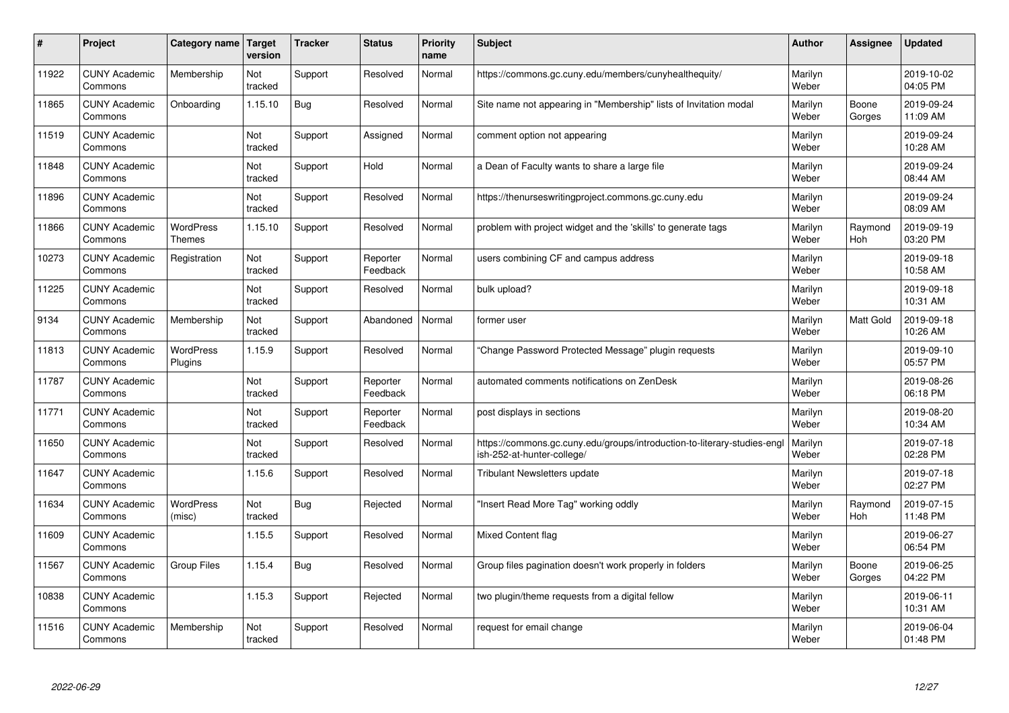| #     | Project                         | Category name                     | Target<br>version | <b>Tracker</b> | <b>Status</b>        | <b>Priority</b><br>name | <b>Subject</b>                                                                                        | <b>Author</b>    | <b>Assignee</b>  | <b>Updated</b>         |
|-------|---------------------------------|-----------------------------------|-------------------|----------------|----------------------|-------------------------|-------------------------------------------------------------------------------------------------------|------------------|------------------|------------------------|
| 11922 | <b>CUNY Academic</b><br>Commons | Membership                        | Not<br>tracked    | Support        | Resolved             | Normal                  | https://commons.gc.cuny.edu/members/cunyhealthequity/                                                 | Marilyn<br>Weber |                  | 2019-10-02<br>04:05 PM |
| 11865 | <b>CUNY Academic</b><br>Commons | Onboarding                        | 1.15.10           | <b>Bug</b>     | Resolved             | Normal                  | Site name not appearing in "Membership" lists of Invitation modal                                     | Marilyn<br>Weber | Boone<br>Gorges  | 2019-09-24<br>11:09 AM |
| 11519 | <b>CUNY Academic</b><br>Commons |                                   | Not<br>tracked    | Support        | Assigned             | Normal                  | comment option not appearing                                                                          | Marilyn<br>Weber |                  | 2019-09-24<br>10:28 AM |
| 11848 | <b>CUNY Academic</b><br>Commons |                                   | Not<br>tracked    | Support        | Hold                 | Normal                  | a Dean of Faculty wants to share a large file                                                         | Marilyn<br>Weber |                  | 2019-09-24<br>08:44 AM |
| 11896 | <b>CUNY Academic</b><br>Commons |                                   | Not<br>tracked    | Support        | Resolved             | Normal                  | https://thenurseswritingproject.commons.gc.cuny.edu                                                   | Marilyn<br>Weber |                  | 2019-09-24<br>08:09 AM |
| 11866 | <b>CUNY Academic</b><br>Commons | <b>WordPress</b><br><b>Themes</b> | 1.15.10           | Support        | Resolved             | Normal                  | problem with project widget and the 'skills' to generate tags                                         | Marilyn<br>Weber | Raymond<br>Hoh   | 2019-09-19<br>03:20 PM |
| 10273 | <b>CUNY Academic</b><br>Commons | Registration                      | Not<br>tracked    | Support        | Reporter<br>Feedback | Normal                  | users combining CF and campus address                                                                 | Marilyn<br>Weber |                  | 2019-09-18<br>10:58 AM |
| 11225 | <b>CUNY Academic</b><br>Commons |                                   | Not<br>tracked    | Support        | Resolved             | Normal                  | bulk upload?                                                                                          | Marilyn<br>Weber |                  | 2019-09-18<br>10:31 AM |
| 9134  | <b>CUNY Academic</b><br>Commons | Membership                        | Not<br>tracked    | Support        | Abandoned            | Normal                  | former user                                                                                           | Marilyn<br>Weber | <b>Matt Gold</b> | 2019-09-18<br>10:26 AM |
| 11813 | <b>CUNY Academic</b><br>Commons | <b>WordPress</b><br>Plugins       | 1.15.9            | Support        | Resolved             | Normal                  | Change Password Protected Message" plugin requests                                                    | Marilyn<br>Weber |                  | 2019-09-10<br>05:57 PM |
| 11787 | <b>CUNY Academic</b><br>Commons |                                   | Not<br>tracked    | Support        | Reporter<br>Feedback | Normal                  | automated comments notifications on ZenDesk                                                           | Marilyn<br>Weber |                  | 2019-08-26<br>06:18 PM |
| 11771 | <b>CUNY Academic</b><br>Commons |                                   | Not<br>tracked    | Support        | Reporter<br>Feedback | Normal                  | post displays in sections                                                                             | Marilyn<br>Weber |                  | 2019-08-20<br>10:34 AM |
| 11650 | <b>CUNY Academic</b><br>Commons |                                   | Not<br>tracked    | Support        | Resolved             | Normal                  | https://commons.gc.cuny.edu/groups/introduction-to-literary-studies-eng<br>ish-252-at-hunter-college/ | Marilyn<br>Weber |                  | 2019-07-18<br>02:28 PM |
| 11647 | <b>CUNY Academic</b><br>Commons |                                   | 1.15.6            | Support        | Resolved             | Normal                  | <b>Tribulant Newsletters update</b>                                                                   | Marilyn<br>Weber |                  | 2019-07-18<br>02:27 PM |
| 11634 | <b>CUNY Academic</b><br>Commons | <b>WordPress</b><br>(misc)        | Not<br>tracked    | Bug            | Rejected             | Normal                  | 'Insert Read More Tag" working oddly                                                                  | Marilyn<br>Weber | Raymond<br>Hoh   | 2019-07-15<br>11:48 PM |
| 11609 | <b>CUNY Academic</b><br>Commons |                                   | 1.15.5            | Support        | Resolved             | Normal                  | <b>Mixed Content flag</b>                                                                             | Marilyn<br>Weber |                  | 2019-06-27<br>06:54 PM |
| 11567 | <b>CUNY Academic</b><br>Commons | <b>Group Files</b>                | 1.15.4            | Bug            | Resolved             | Normal                  | Group files pagination doesn't work properly in folders                                               | Marilyn<br>Weber | Boone<br>Gorges  | 2019-06-25<br>04:22 PM |
| 10838 | <b>CUNY Academic</b><br>Commons |                                   | 1.15.3            | Support        | Rejected             | Normal                  | two plugin/theme requests from a digital fellow                                                       | Marilyn<br>Weber |                  | 2019-06-11<br>10:31 AM |
| 11516 | <b>CUNY Academic</b><br>Commons | Membership                        | Not<br>tracked    | Support        | Resolved             | Normal                  | request for email change                                                                              | Marilyn<br>Weber |                  | 2019-06-04<br>01:48 PM |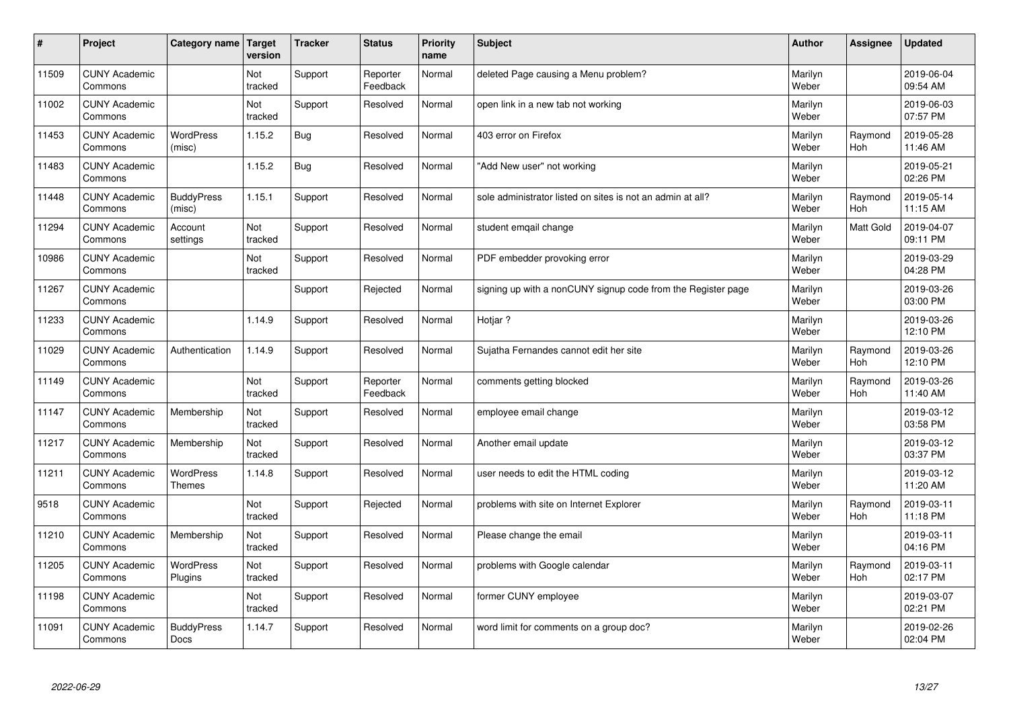| $\sharp$ | Project                         | Category name                     | Target<br>version | <b>Tracker</b> | <b>Status</b>        | <b>Priority</b><br>name | <b>Subject</b>                                               | <b>Author</b>    | Assignee              | <b>Updated</b>         |
|----------|---------------------------------|-----------------------------------|-------------------|----------------|----------------------|-------------------------|--------------------------------------------------------------|------------------|-----------------------|------------------------|
| 11509    | <b>CUNY Academic</b><br>Commons |                                   | Not<br>tracked    | Support        | Reporter<br>Feedback | Normal                  | deleted Page causing a Menu problem?                         | Marilyn<br>Weber |                       | 2019-06-04<br>09:54 AM |
| 11002    | <b>CUNY Academic</b><br>Commons |                                   | Not<br>tracked    | Support        | Resolved             | Normal                  | open link in a new tab not working                           | Marilyn<br>Weber |                       | 2019-06-03<br>07:57 PM |
| 11453    | <b>CUNY Academic</b><br>Commons | <b>WordPress</b><br>(misc)        | 1.15.2            | Bug            | Resolved             | Normal                  | 403 error on Firefox                                         | Marilyn<br>Weber | Raymond<br><b>Hoh</b> | 2019-05-28<br>11:46 AM |
| 11483    | <b>CUNY Academic</b><br>Commons |                                   | 1.15.2            | <b>Bug</b>     | Resolved             | Normal                  | 'Add New user" not working                                   | Marilyn<br>Weber |                       | 2019-05-21<br>02:26 PM |
| 11448    | <b>CUNY Academic</b><br>Commons | <b>BuddyPress</b><br>(misc)       | 1.15.1            | Support        | Resolved             | Normal                  | sole administrator listed on sites is not an admin at all?   | Marilyn<br>Weber | Raymond<br>Hoh        | 2019-05-14<br>11:15 AM |
| 11294    | <b>CUNY Academic</b><br>Commons | Account<br>settings               | Not<br>tracked    | Support        | Resolved             | Normal                  | student emgail change                                        | Marilyn<br>Weber | Matt Gold             | 2019-04-07<br>09:11 PM |
| 10986    | <b>CUNY Academic</b><br>Commons |                                   | Not<br>tracked    | Support        | Resolved             | Normal                  | PDF embedder provoking error                                 | Marilyn<br>Weber |                       | 2019-03-29<br>04:28 PM |
| 11267    | <b>CUNY Academic</b><br>Commons |                                   |                   | Support        | Rejected             | Normal                  | signing up with a nonCUNY signup code from the Register page | Marilyn<br>Weber |                       | 2019-03-26<br>03:00 PM |
| 11233    | <b>CUNY Academic</b><br>Commons |                                   | 1.14.9            | Support        | Resolved             | Normal                  | Hotjar?                                                      | Marilyn<br>Weber |                       | 2019-03-26<br>12:10 PM |
| 11029    | <b>CUNY Academic</b><br>Commons | Authentication                    | 1.14.9            | Support        | Resolved             | Normal                  | Sujatha Fernandes cannot edit her site                       | Marilyn<br>Weber | Raymond<br>Hoh        | 2019-03-26<br>12:10 PM |
| 11149    | <b>CUNY Academic</b><br>Commons |                                   | Not<br>tracked    | Support        | Reporter<br>Feedback | Normal                  | comments getting blocked                                     | Marilyn<br>Weber | Raymond<br>Hoh        | 2019-03-26<br>11:40 AM |
| 11147    | <b>CUNY Academic</b><br>Commons | Membership                        | Not<br>tracked    | Support        | Resolved             | Normal                  | employee email change                                        | Marilyn<br>Weber |                       | 2019-03-12<br>03:58 PM |
| 11217    | <b>CUNY Academic</b><br>Commons | Membership                        | Not<br>tracked    | Support        | Resolved             | Normal                  | Another email update                                         | Marilyn<br>Weber |                       | 2019-03-12<br>03:37 PM |
| 11211    | <b>CUNY Academic</b><br>Commons | <b>WordPress</b><br><b>Themes</b> | 1.14.8            | Support        | Resolved             | Normal                  | user needs to edit the HTML coding                           | Marilyn<br>Weber |                       | 2019-03-12<br>11:20 AM |
| 9518     | <b>CUNY Academic</b><br>Commons |                                   | Not<br>tracked    | Support        | Rejected             | Normal                  | problems with site on Internet Explorer                      | Marilyn<br>Weber | Raymond<br>Hoh        | 2019-03-11<br>11:18 PM |
| 11210    | <b>CUNY Academic</b><br>Commons | Membership                        | Not<br>tracked    | Support        | Resolved             | Normal                  | Please change the email                                      | Marilyn<br>Weber |                       | 2019-03-11<br>04:16 PM |
| 11205    | <b>CUNY Academic</b><br>Commons | WordPress<br>Plugins              | Not<br>tracked    | Support        | Resolved             | Normal                  | problems with Google calendar                                | Marilyn<br>Weber | Raymond<br>Hoh        | 2019-03-11<br>02:17 PM |
| 11198    | <b>CUNY Academic</b><br>Commons |                                   | Not<br>tracked    | Support        | Resolved             | Normal                  | former CUNY employee                                         | Marilyn<br>Weber |                       | 2019-03-07<br>02:21 PM |
| 11091    | <b>CUNY Academic</b><br>Commons | <b>BuddyPress</b><br>Docs         | 1.14.7            | Support        | Resolved             | Normal                  | word limit for comments on a group doc?                      | Marilyn<br>Weber |                       | 2019-02-26<br>02:04 PM |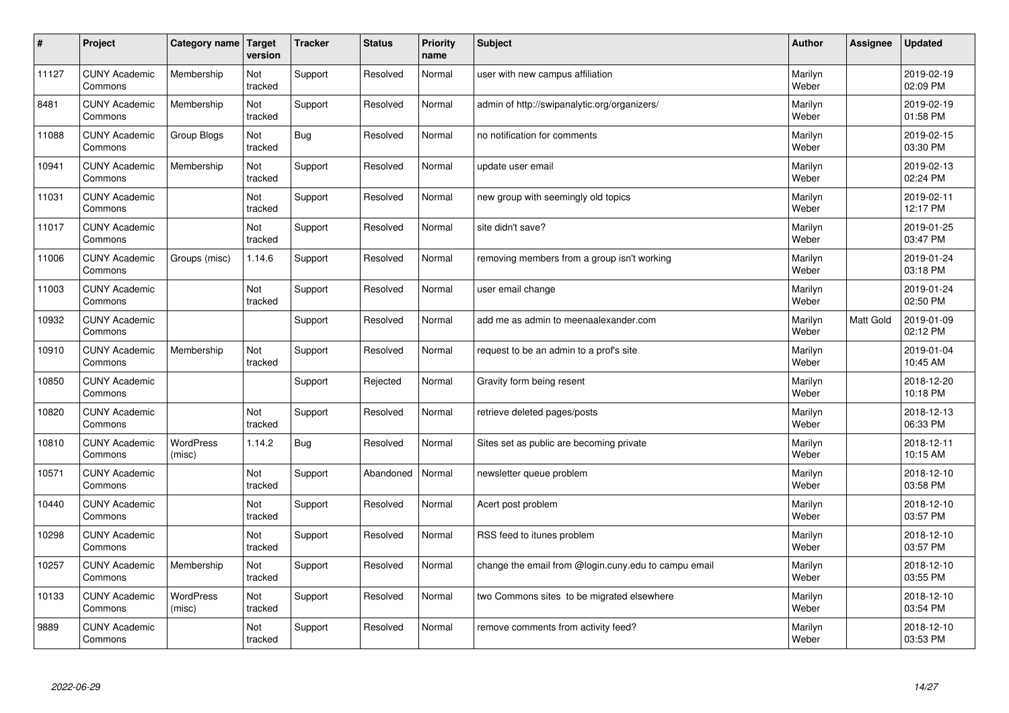| $\sharp$ | Project                         | Category name              | Target<br>version | <b>Tracker</b> | <b>Status</b> | <b>Priority</b><br>name | <b>Subject</b>                                       | <b>Author</b>    | Assignee  | <b>Updated</b>         |
|----------|---------------------------------|----------------------------|-------------------|----------------|---------------|-------------------------|------------------------------------------------------|------------------|-----------|------------------------|
| 11127    | <b>CUNY Academic</b><br>Commons | Membership                 | Not<br>tracked    | Support        | Resolved      | Normal                  | user with new campus affiliation                     | Marilyn<br>Weber |           | 2019-02-19<br>02:09 PM |
| 8481     | <b>CUNY Academic</b><br>Commons | Membership                 | Not<br>tracked    | Support        | Resolved      | Normal                  | admin of http://swipanalytic.org/organizers/         | Marilyn<br>Weber |           | 2019-02-19<br>01:58 PM |
| 11088    | <b>CUNY Academic</b><br>Commons | Group Blogs                | Not<br>tracked    | <b>Bug</b>     | Resolved      | Normal                  | no notification for comments                         | Marilyn<br>Weber |           | 2019-02-15<br>03:30 PM |
| 10941    | <b>CUNY Academic</b><br>Commons | Membership                 | Not<br>tracked    | Support        | Resolved      | Normal                  | update user email                                    | Marilyn<br>Weber |           | 2019-02-13<br>02:24 PM |
| 11031    | <b>CUNY Academic</b><br>Commons |                            | Not<br>tracked    | Support        | Resolved      | Normal                  | new group with seemingly old topics                  | Marilyn<br>Weber |           | 2019-02-11<br>12:17 PM |
| 11017    | <b>CUNY Academic</b><br>Commons |                            | Not<br>tracked    | Support        | Resolved      | Normal                  | site didn't save?                                    | Marilyn<br>Weber |           | 2019-01-25<br>03:47 PM |
| 11006    | <b>CUNY Academic</b><br>Commons | Groups (misc)              | 1.14.6            | Support        | Resolved      | Normal                  | removing members from a group isn't working          | Marilyn<br>Weber |           | 2019-01-24<br>03:18 PM |
| 11003    | <b>CUNY Academic</b><br>Commons |                            | Not<br>tracked    | Support        | Resolved      | Normal                  | user email change                                    | Marilyn<br>Weber |           | 2019-01-24<br>02:50 PM |
| 10932    | <b>CUNY Academic</b><br>Commons |                            |                   | Support        | Resolved      | Normal                  | add me as admin to meenaalexander.com                | Marilyn<br>Weber | Matt Gold | 2019-01-09<br>02:12 PM |
| 10910    | <b>CUNY Academic</b><br>Commons | Membership                 | Not<br>tracked    | Support        | Resolved      | Normal                  | request to be an admin to a prof's site              | Marilyn<br>Weber |           | 2019-01-04<br>10:45 AM |
| 10850    | <b>CUNY Academic</b><br>Commons |                            |                   | Support        | Rejected      | Normal                  | Gravity form being resent                            | Marilyn<br>Weber |           | 2018-12-20<br>10:18 PM |
| 10820    | <b>CUNY Academic</b><br>Commons |                            | Not<br>tracked    | Support        | Resolved      | Normal                  | retrieve deleted pages/posts                         | Marilyn<br>Weber |           | 2018-12-13<br>06:33 PM |
| 10810    | <b>CUNY Academic</b><br>Commons | <b>WordPress</b><br>(misc) | 1.14.2            | Bug            | Resolved      | Normal                  | Sites set as public are becoming private             | Marilyn<br>Weber |           | 2018-12-11<br>10:15 AM |
| 10571    | <b>CUNY Academic</b><br>Commons |                            | Not<br>tracked    | Support        | Abandoned     | Normal                  | newsletter queue problem                             | Marilyn<br>Weber |           | 2018-12-10<br>03:58 PM |
| 10440    | <b>CUNY Academic</b><br>Commons |                            | Not<br>tracked    | Support        | Resolved      | Normal                  | Acert post problem                                   | Marilyn<br>Weber |           | 2018-12-10<br>03:57 PM |
| 10298    | <b>CUNY Academic</b><br>Commons |                            | Not<br>tracked    | Support        | Resolved      | Normal                  | RSS feed to itunes problem                           | Marilyn<br>Weber |           | 2018-12-10<br>03:57 PM |
| 10257    | <b>CUNY Academic</b><br>Commons | Membership                 | Not<br>tracked    | Support        | Resolved      | Normal                  | change the email from @login.cuny.edu to campu email | Marilyn<br>Weber |           | 2018-12-10<br>03:55 PM |
| 10133    | <b>CUNY Academic</b><br>Commons | WordPress<br>(misc)        | Not<br>tracked    | Support        | Resolved      | Normal                  | two Commons sites to be migrated elsewhere           | Marilyn<br>Weber |           | 2018-12-10<br>03:54 PM |
| 9889     | <b>CUNY Academic</b><br>Commons |                            | Not<br>tracked    | Support        | Resolved      | Normal                  | remove comments from activity feed?                  | Marilyn<br>Weber |           | 2018-12-10<br>03:53 PM |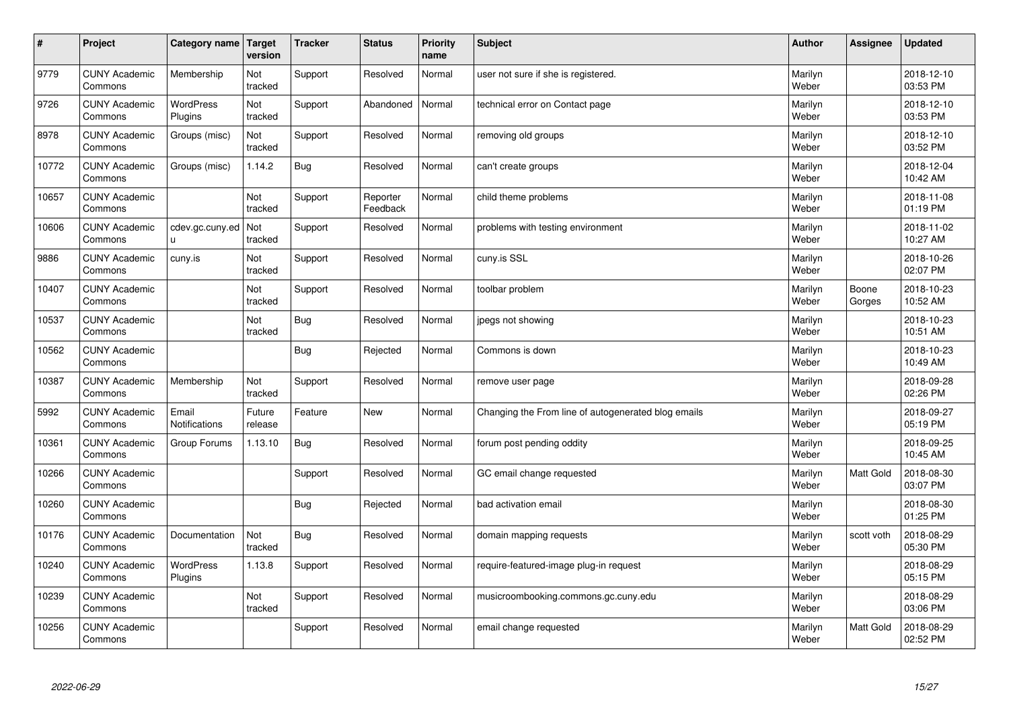| $\vert$ # | Project                         | <b>Category name</b>        | Target<br>version | <b>Tracker</b> | <b>Status</b>        | <b>Priority</b><br>name | <b>Subject</b>                                      | <b>Author</b>    | Assignee         | <b>Updated</b>         |
|-----------|---------------------------------|-----------------------------|-------------------|----------------|----------------------|-------------------------|-----------------------------------------------------|------------------|------------------|------------------------|
| 9779      | <b>CUNY Academic</b><br>Commons | Membership                  | Not<br>tracked    | Support        | Resolved             | Normal                  | user not sure if she is registered.                 | Marilyn<br>Weber |                  | 2018-12-10<br>03:53 PM |
| 9726      | <b>CUNY Academic</b><br>Commons | <b>WordPress</b><br>Plugins | Not<br>tracked    | Support        | Abandoned            | Normal                  | technical error on Contact page                     | Marilyn<br>Weber |                  | 2018-12-10<br>03:53 PM |
| 8978      | <b>CUNY Academic</b><br>Commons | Groups (misc)               | Not<br>tracked    | Support        | Resolved             | Normal                  | removing old groups                                 | Marilyn<br>Weber |                  | 2018-12-10<br>03:52 PM |
| 10772     | <b>CUNY Academic</b><br>Commons | Groups (misc)               | 1.14.2            | Bug            | Resolved             | Normal                  | can't create groups                                 | Marilyn<br>Weber |                  | 2018-12-04<br>10:42 AM |
| 10657     | <b>CUNY Academic</b><br>Commons |                             | Not<br>tracked    | Support        | Reporter<br>Feedback | Normal                  | child theme problems                                | Marilyn<br>Weber |                  | 2018-11-08<br>01:19 PM |
| 10606     | <b>CUNY Academic</b><br>Commons | cdev.gc.cuny.ed<br>u.       | Not<br>tracked    | Support        | Resolved             | Normal                  | problems with testing environment                   | Marilyn<br>Weber |                  | 2018-11-02<br>10:27 AM |
| 9886      | <b>CUNY Academic</b><br>Commons | cuny.is                     | Not<br>tracked    | Support        | Resolved             | Normal                  | cuny.is SSL                                         | Marilyn<br>Weber |                  | 2018-10-26<br>02:07 PM |
| 10407     | <b>CUNY Academic</b><br>Commons |                             | Not<br>tracked    | Support        | Resolved             | Normal                  | toolbar problem                                     | Marilyn<br>Weber | Boone<br>Gorges  | 2018-10-23<br>10:52 AM |
| 10537     | <b>CUNY Academic</b><br>Commons |                             | Not<br>tracked    | Bug            | Resolved             | Normal                  | jpegs not showing                                   | Marilyn<br>Weber |                  | 2018-10-23<br>10:51 AM |
| 10562     | <b>CUNY Academic</b><br>Commons |                             |                   | Bug            | Rejected             | Normal                  | Commons is down                                     | Marilyn<br>Weber |                  | 2018-10-23<br>10:49 AM |
| 10387     | <b>CUNY Academic</b><br>Commons | Membership                  | Not<br>tracked    | Support        | Resolved             | Normal                  | remove user page                                    | Marilyn<br>Weber |                  | 2018-09-28<br>02:26 PM |
| 5992      | <b>CUNY Academic</b><br>Commons | Email<br>Notifications      | Future<br>release | Feature        | <b>New</b>           | Normal                  | Changing the From line of autogenerated blog emails | Marilyn<br>Weber |                  | 2018-09-27<br>05:19 PM |
| 10361     | <b>CUNY Academic</b><br>Commons | Group Forums                | 1.13.10           | Bug            | Resolved             | Normal                  | forum post pending oddity                           | Marilyn<br>Weber |                  | 2018-09-25<br>10:45 AM |
| 10266     | <b>CUNY Academic</b><br>Commons |                             |                   | Support        | Resolved             | Normal                  | GC email change requested                           | Marilyn<br>Weber | Matt Gold        | 2018-08-30<br>03:07 PM |
| 10260     | <b>CUNY Academic</b><br>Commons |                             |                   | <b>Bug</b>     | Rejected             | Normal                  | bad activation email                                | Marilyn<br>Weber |                  | 2018-08-30<br>01:25 PM |
| 10176     | <b>CUNY Academic</b><br>Commons | Documentation               | Not<br>tracked    | Bug            | Resolved             | Normal                  | domain mapping requests                             | Marilyn<br>Weber | scott voth       | 2018-08-29<br>05:30 PM |
| 10240     | <b>CUNY Academic</b><br>Commons | WordPress<br>Plugins        | 1.13.8            | Support        | Resolved             | Normal                  | require-featured-image plug-in request              | Marilyn<br>Weber |                  | 2018-08-29<br>05:15 PM |
| 10239     | <b>CUNY Academic</b><br>Commons |                             | Not<br>tracked    | Support        | Resolved             | Normal                  | musicroombooking.commons.gc.cuny.edu                | Marilyn<br>Weber |                  | 2018-08-29<br>03:06 PM |
| 10256     | <b>CUNY Academic</b><br>Commons |                             |                   | Support        | Resolved             | Normal                  | email change requested                              | Marilyn<br>Weber | <b>Matt Gold</b> | 2018-08-29<br>02:52 PM |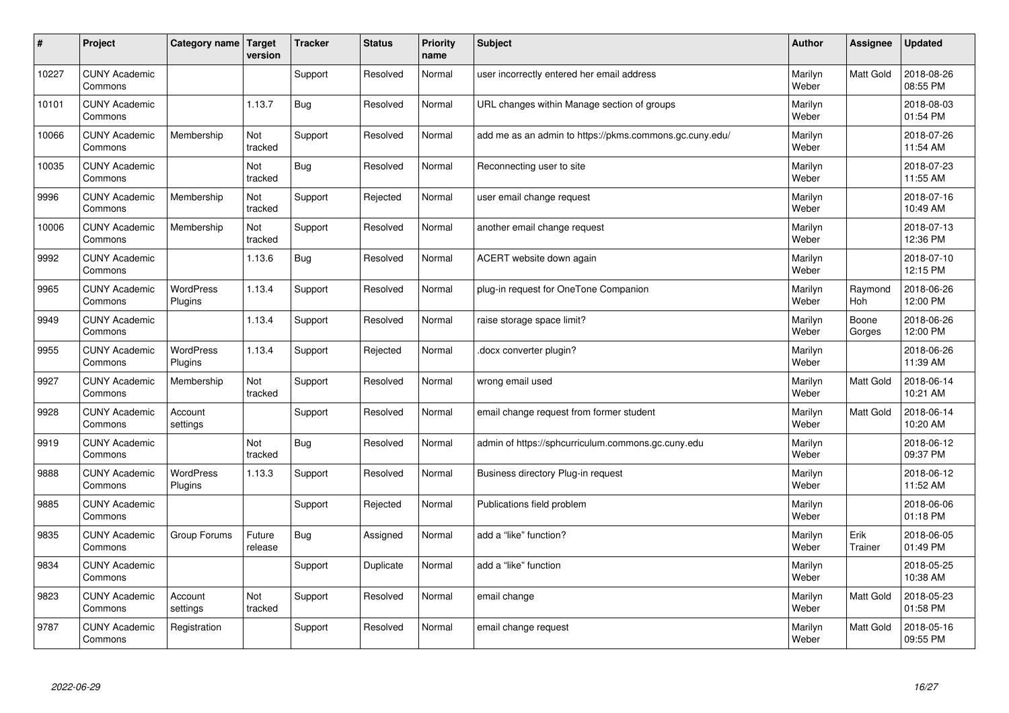| #     | Project                         | Category name   Target      | version           | <b>Tracker</b> | <b>Status</b> | <b>Priority</b><br>name | <b>Subject</b>                                          | <b>Author</b>    | Assignee         | <b>Updated</b>         |
|-------|---------------------------------|-----------------------------|-------------------|----------------|---------------|-------------------------|---------------------------------------------------------|------------------|------------------|------------------------|
| 10227 | <b>CUNY Academic</b><br>Commons |                             |                   | Support        | Resolved      | Normal                  | user incorrectly entered her email address              | Marilyn<br>Weber | Matt Gold        | 2018-08-26<br>08:55 PM |
| 10101 | <b>CUNY Academic</b><br>Commons |                             | 1.13.7            | Bug            | Resolved      | Normal                  | URL changes within Manage section of groups             | Marilyn<br>Weber |                  | 2018-08-03<br>01:54 PM |
| 10066 | <b>CUNY Academic</b><br>Commons | Membership                  | Not<br>tracked    | Support        | Resolved      | Normal                  | add me as an admin to https://pkms.commons.gc.cuny.edu/ | Marilyn<br>Weber |                  | 2018-07-26<br>11:54 AM |
| 10035 | <b>CUNY Academic</b><br>Commons |                             | Not<br>tracked    | Bug            | Resolved      | Normal                  | Reconnecting user to site                               | Marilyn<br>Weber |                  | 2018-07-23<br>11:55 AM |
| 9996  | <b>CUNY Academic</b><br>Commons | Membership                  | Not<br>tracked    | Support        | Rejected      | Normal                  | user email change request                               | Marilyn<br>Weber |                  | 2018-07-16<br>10:49 AM |
| 10006 | <b>CUNY Academic</b><br>Commons | Membership                  | Not<br>tracked    | Support        | Resolved      | Normal                  | another email change request                            | Marilyn<br>Weber |                  | 2018-07-13<br>12:36 PM |
| 9992  | <b>CUNY Academic</b><br>Commons |                             | 1.13.6            | <b>Bug</b>     | Resolved      | Normal                  | ACERT website down again                                | Marilyn<br>Weber |                  | 2018-07-10<br>12:15 PM |
| 9965  | <b>CUNY Academic</b><br>Commons | <b>WordPress</b><br>Plugins | 1.13.4            | Support        | Resolved      | Normal                  | plug-in request for OneTone Companion                   | Marilyn<br>Weber | Raymond<br>Hoh   | 2018-06-26<br>12:00 PM |
| 9949  | <b>CUNY Academic</b><br>Commons |                             | 1.13.4            | Support        | Resolved      | Normal                  | raise storage space limit?                              | Marilyn<br>Weber | Boone<br>Gorges  | 2018-06-26<br>12:00 PM |
| 9955  | <b>CUNY Academic</b><br>Commons | <b>WordPress</b><br>Plugins | 1.13.4            | Support        | Rejected      | Normal                  | docx converter plugin?                                  | Marilyn<br>Weber |                  | 2018-06-26<br>11:39 AM |
| 9927  | <b>CUNY Academic</b><br>Commons | Membership                  | Not<br>tracked    | Support        | Resolved      | Normal                  | wrong email used                                        | Marilyn<br>Weber | <b>Matt Gold</b> | 2018-06-14<br>10:21 AM |
| 9928  | <b>CUNY Academic</b><br>Commons | Account<br>settings         |                   | Support        | Resolved      | Normal                  | email change request from former student                | Marilyn<br>Weber | <b>Matt Gold</b> | 2018-06-14<br>10:20 AM |
| 9919  | <b>CUNY Academic</b><br>Commons |                             | Not<br>tracked    | Bug            | Resolved      | Normal                  | admin of https://sphcurriculum.commons.gc.cuny.edu      | Marilyn<br>Weber |                  | 2018-06-12<br>09:37 PM |
| 9888  | <b>CUNY Academic</b><br>Commons | <b>WordPress</b><br>Plugins | 1.13.3            | Support        | Resolved      | Normal                  | Business directory Plug-in request                      | Marilyn<br>Weber |                  | 2018-06-12<br>11:52 AM |
| 9885  | <b>CUNY Academic</b><br>Commons |                             |                   | Support        | Rejected      | Normal                  | Publications field problem                              | Marilyn<br>Weber |                  | 2018-06-06<br>01:18 PM |
| 9835  | <b>CUNY Academic</b><br>Commons | Group Forums                | Future<br>release | Bug            | Assigned      | Normal                  | add a "like" function?                                  | Marilyn<br>Weber | Erik<br>Trainer  | 2018-06-05<br>01:49 PM |
| 9834  | <b>CUNY Academic</b><br>Commons |                             |                   | Support        | Duplicate     | Normal                  | add a "like" function                                   | Marilyn<br>Weber |                  | 2018-05-25<br>10:38 AM |
| 9823  | <b>CUNY Academic</b><br>Commons | Account<br>settings         | Not<br>tracked    | Support        | Resolved      | Normal                  | email change                                            | Marilyn<br>Weber | Matt Gold        | 2018-05-23<br>01:58 PM |
| 9787  | <b>CUNY Academic</b><br>Commons | Registration                |                   | Support        | Resolved      | Normal                  | email change request                                    | Marilyn<br>Weber | <b>Matt Gold</b> | 2018-05-16<br>09:55 PM |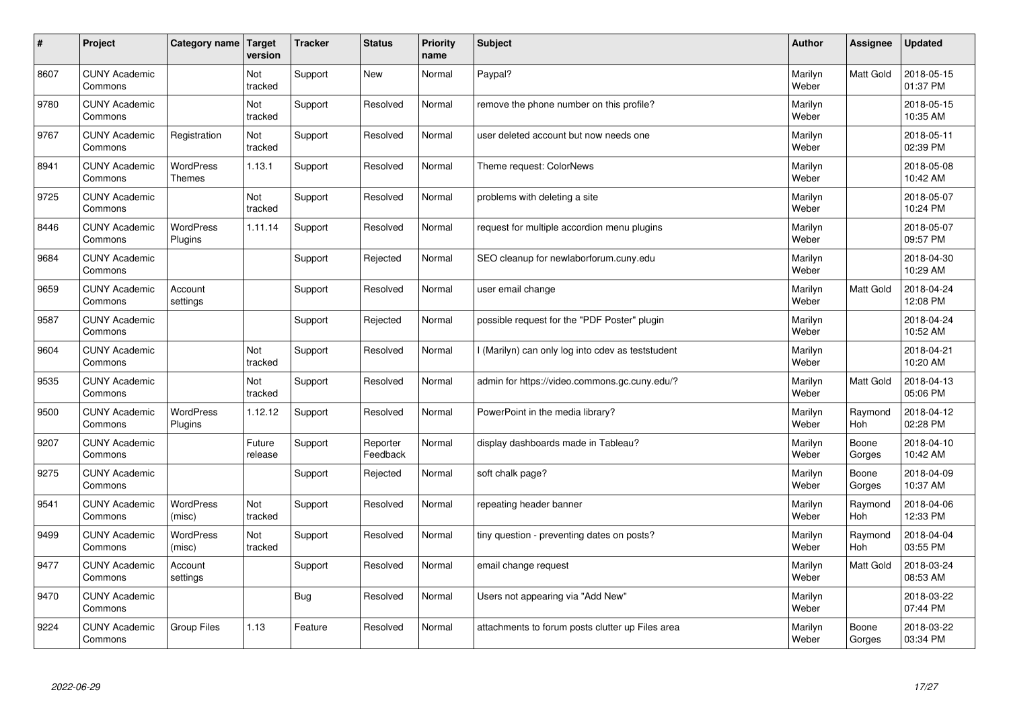| $\vert$ # | Project                         | Category name                     | Target<br>version | <b>Tracker</b> | <b>Status</b>        | <b>Priority</b><br>name | <b>Subject</b>                                    | <b>Author</b>    | Assignee        | <b>Updated</b>         |
|-----------|---------------------------------|-----------------------------------|-------------------|----------------|----------------------|-------------------------|---------------------------------------------------|------------------|-----------------|------------------------|
| 8607      | <b>CUNY Academic</b><br>Commons |                                   | Not<br>tracked    | Support        | <b>New</b>           | Normal                  | Paypal?                                           | Marilyn<br>Weber | Matt Gold       | 2018-05-15<br>01:37 PM |
| 9780      | <b>CUNY Academic</b><br>Commons |                                   | Not<br>tracked    | Support        | Resolved             | Normal                  | remove the phone number on this profile?          | Marilyn<br>Weber |                 | 2018-05-15<br>10:35 AM |
| 9767      | <b>CUNY Academic</b><br>Commons | Registration                      | Not<br>tracked    | Support        | Resolved             | Normal                  | user deleted account but now needs one            | Marilyn<br>Weber |                 | 2018-05-11<br>02:39 PM |
| 8941      | <b>CUNY Academic</b><br>Commons | <b>WordPress</b><br><b>Themes</b> | 1.13.1            | Support        | Resolved             | Normal                  | Theme request: ColorNews                          | Marilyn<br>Weber |                 | 2018-05-08<br>10:42 AM |
| 9725      | <b>CUNY Academic</b><br>Commons |                                   | Not<br>tracked    | Support        | Resolved             | Normal                  | problems with deleting a site                     | Marilyn<br>Weber |                 | 2018-05-07<br>10:24 PM |
| 8446      | <b>CUNY Academic</b><br>Commons | <b>WordPress</b><br>Plugins       | 1.11.14           | Support        | Resolved             | Normal                  | request for multiple accordion menu plugins       | Marilyn<br>Weber |                 | 2018-05-07<br>09:57 PM |
| 9684      | <b>CUNY Academic</b><br>Commons |                                   |                   | Support        | Rejected             | Normal                  | SEO cleanup for newlaborforum.cuny.edu            | Marilyn<br>Weber |                 | 2018-04-30<br>10:29 AM |
| 9659      | <b>CUNY Academic</b><br>Commons | Account<br>settings               |                   | Support        | Resolved             | Normal                  | user email change                                 | Marilyn<br>Weber | Matt Gold       | 2018-04-24<br>12:08 PM |
| 9587      | <b>CUNY Academic</b><br>Commons |                                   |                   | Support        | Rejected             | Normal                  | possible request for the "PDF Poster" plugin      | Marilyn<br>Weber |                 | 2018-04-24<br>10:52 AM |
| 9604      | <b>CUNY Academic</b><br>Commons |                                   | Not<br>tracked    | Support        | Resolved             | Normal                  | I (Marilyn) can only log into cdev as teststudent | Marilyn<br>Weber |                 | 2018-04-21<br>10:20 AM |
| 9535      | <b>CUNY Academic</b><br>Commons |                                   | Not<br>tracked    | Support        | Resolved             | Normal                  | admin for https://video.commons.gc.cuny.edu/?     | Marilyn<br>Weber | Matt Gold       | 2018-04-13<br>05:06 PM |
| 9500      | <b>CUNY Academic</b><br>Commons | <b>WordPress</b><br>Plugins       | 1.12.12           | Support        | Resolved             | Normal                  | PowerPoint in the media library?                  | Marilyn<br>Weber | Raymond<br>Hoh  | 2018-04-12<br>02:28 PM |
| 9207      | <b>CUNY Academic</b><br>Commons |                                   | Future<br>release | Support        | Reporter<br>Feedback | Normal                  | display dashboards made in Tableau?               | Marilyn<br>Weber | Boone<br>Gorges | 2018-04-10<br>10:42 AM |
| 9275      | <b>CUNY Academic</b><br>Commons |                                   |                   | Support        | Rejected             | Normal                  | soft chalk page?                                  | Marilyn<br>Weber | Boone<br>Gorges | 2018-04-09<br>10:37 AM |
| 9541      | <b>CUNY Academic</b><br>Commons | <b>WordPress</b><br>(misc)        | Not<br>tracked    | Support        | Resolved             | Normal                  | repeating header banner                           | Marilyn<br>Weber | Raymond<br>Hoh  | 2018-04-06<br>12:33 PM |
| 9499      | <b>CUNY Academic</b><br>Commons | <b>WordPress</b><br>(misc)        | Not<br>tracked    | Support        | Resolved             | Normal                  | tiny question - preventing dates on posts?        | Marilyn<br>Weber | Raymond<br>Hoh  | 2018-04-04<br>03:55 PM |
| 9477      | <b>CUNY Academic</b><br>Commons | Account<br>settings               |                   | Support        | Resolved             | Normal                  | email change request                              | Marilyn<br>Weber | Matt Gold       | 2018-03-24<br>08:53 AM |
| 9470      | <b>CUNY Academic</b><br>Commons |                                   |                   | <b>Bug</b>     | Resolved             | Normal                  | Users not appearing via "Add New"                 | Marilyn<br>Weber |                 | 2018-03-22<br>07:44 PM |
| 9224      | <b>CUNY Academic</b><br>Commons | <b>Group Files</b>                | 1.13              | Feature        | Resolved             | Normal                  | attachments to forum posts clutter up Files area  | Marilyn<br>Weber | Boone<br>Gorges | 2018-03-22<br>03:34 PM |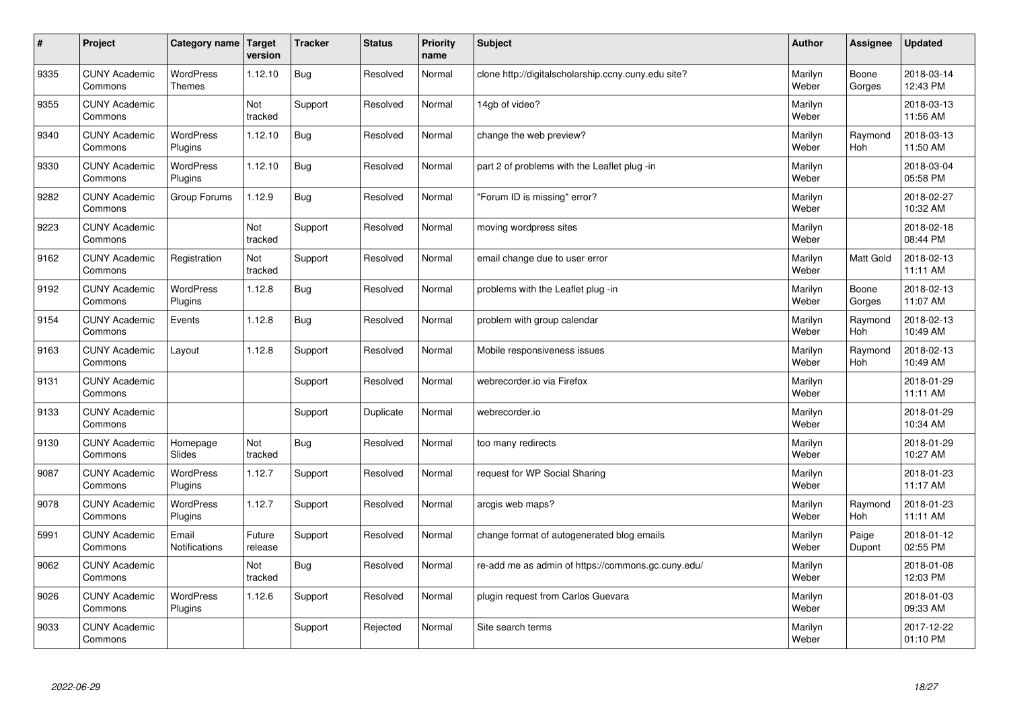| #    | Project                         | Category name                     | Target<br>version | <b>Tracker</b> | <b>Status</b> | <b>Priority</b><br>name | <b>Subject</b>                                      | <b>Author</b>    | Assignee         | <b>Updated</b>         |
|------|---------------------------------|-----------------------------------|-------------------|----------------|---------------|-------------------------|-----------------------------------------------------|------------------|------------------|------------------------|
| 9335 | <b>CUNY Academic</b><br>Commons | <b>WordPress</b><br><b>Themes</b> | 1.12.10           | Bug            | Resolved      | Normal                  | clone http://digitalscholarship.ccny.cuny.edu site? | Marilyn<br>Weber | Boone<br>Gorges  | 2018-03-14<br>12:43 PM |
| 9355 | <b>CUNY Academic</b><br>Commons |                                   | Not<br>tracked    | Support        | Resolved      | Normal                  | 14gb of video?                                      | Marilyn<br>Weber |                  | 2018-03-13<br>11:56 AM |
| 9340 | <b>CUNY Academic</b><br>Commons | <b>WordPress</b><br>Plugins       | 1.12.10           | Bug            | Resolved      | Normal                  | change the web preview?                             | Marilyn<br>Weber | Raymond<br>Hoh   | 2018-03-13<br>11:50 AM |
| 9330 | <b>CUNY Academic</b><br>Commons | <b>WordPress</b><br>Plugins       | 1.12.10           | <b>Bug</b>     | Resolved      | Normal                  | part 2 of problems with the Leaflet plug -in        | Marilyn<br>Weber |                  | 2018-03-04<br>05:58 PM |
| 9282 | <b>CUNY Academic</b><br>Commons | Group Forums                      | 1.12.9            | Bug            | Resolved      | Normal                  | "Forum ID is missing" error?                        | Marilyn<br>Weber |                  | 2018-02-27<br>10:32 AM |
| 9223 | <b>CUNY Academic</b><br>Commons |                                   | Not<br>tracked    | Support        | Resolved      | Normal                  | moving wordpress sites                              | Marilyn<br>Weber |                  | 2018-02-18<br>08:44 PM |
| 9162 | <b>CUNY Academic</b><br>Commons | Registration                      | Not<br>tracked    | Support        | Resolved      | Normal                  | email change due to user error                      | Marilyn<br>Weber | <b>Matt Gold</b> | 2018-02-13<br>11:11 AM |
| 9192 | <b>CUNY Academic</b><br>Commons | WordPress<br>Plugins              | 1.12.8            | Bug            | Resolved      | Normal                  | problems with the Leaflet plug -in                  | Marilyn<br>Weber | Boone<br>Gorges  | 2018-02-13<br>11:07 AM |
| 9154 | <b>CUNY Academic</b><br>Commons | Events                            | 1.12.8            | Bug            | Resolved      | Normal                  | problem with group calendar                         | Marilyn<br>Weber | Raymond<br>Hoh   | 2018-02-13<br>10:49 AM |
| 9163 | <b>CUNY Academic</b><br>Commons | Layout                            | 1.12.8            | Support        | Resolved      | Normal                  | Mobile responsiveness issues                        | Marilyn<br>Weber | Raymond<br>Hoh   | 2018-02-13<br>10:49 AM |
| 9131 | <b>CUNY Academic</b><br>Commons |                                   |                   | Support        | Resolved      | Normal                  | webrecorder.io via Firefox                          | Marilyn<br>Weber |                  | 2018-01-29<br>11:11 AM |
| 9133 | <b>CUNY Academic</b><br>Commons |                                   |                   | Support        | Duplicate     | Normal                  | webrecorder.io                                      | Marilyn<br>Weber |                  | 2018-01-29<br>10:34 AM |
| 9130 | <b>CUNY Academic</b><br>Commons | Homepage<br>Slides                | Not<br>tracked    | Bug            | Resolved      | Normal                  | too many redirects                                  | Marilyn<br>Weber |                  | 2018-01-29<br>10:27 AM |
| 9087 | <b>CUNY Academic</b><br>Commons | WordPress<br>Plugins              | 1.12.7            | Support        | Resolved      | Normal                  | request for WP Social Sharing                       | Marilyn<br>Weber |                  | 2018-01-23<br>11:17 AM |
| 9078 | <b>CUNY Academic</b><br>Commons | <b>WordPress</b><br>Plugins       | 1.12.7            | Support        | Resolved      | Normal                  | arcgis web maps?                                    | Marilyn<br>Weber | Raymond<br>Hoh   | 2018-01-23<br>11:11 AM |
| 5991 | <b>CUNY Academic</b><br>Commons | Email<br><b>Notifications</b>     | Future<br>release | Support        | Resolved      | Normal                  | change format of autogenerated blog emails          | Marilyn<br>Weber | Paige<br>Dupont  | 2018-01-12<br>02:55 PM |
| 9062 | <b>CUNY Academic</b><br>Commons |                                   | Not<br>tracked    | Bug            | Resolved      | Normal                  | re-add me as admin of https://commons.gc.cuny.edu/  | Marilyn<br>Weber |                  | 2018-01-08<br>12:03 PM |
| 9026 | <b>CUNY Academic</b><br>Commons | <b>WordPress</b><br>Plugins       | 1.12.6            | Support        | Resolved      | Normal                  | plugin request from Carlos Guevara                  | Marilyn<br>Weber |                  | 2018-01-03<br>09:33 AM |
| 9033 | <b>CUNY Academic</b><br>Commons |                                   |                   | Support        | Rejected      | Normal                  | Site search terms                                   | Marilyn<br>Weber |                  | 2017-12-22<br>01:10 PM |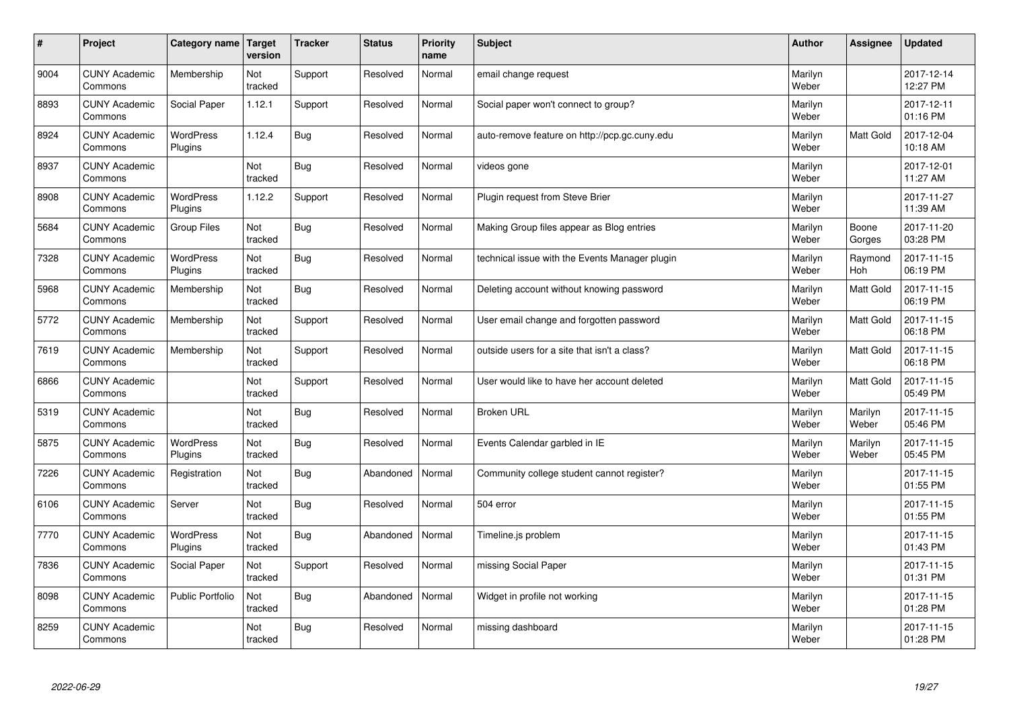| $\pmb{\sharp}$ | Project                         | Category name               | Target<br>version     | <b>Tracker</b> | <b>Status</b> | <b>Priority</b><br>name | <b>Subject</b>                                 | <b>Author</b>    | Assignee         | <b>Updated</b>         |
|----------------|---------------------------------|-----------------------------|-----------------------|----------------|---------------|-------------------------|------------------------------------------------|------------------|------------------|------------------------|
| 9004           | <b>CUNY Academic</b><br>Commons | Membership                  | Not<br>tracked        | Support        | Resolved      | Normal                  | email change request                           | Marilyn<br>Weber |                  | 2017-12-14<br>12:27 PM |
| 8893           | <b>CUNY Academic</b><br>Commons | <b>Social Paper</b>         | 1.12.1                | Support        | Resolved      | Normal                  | Social paper won't connect to group?           | Marilyn<br>Weber |                  | 2017-12-11<br>01:16 PM |
| 8924           | <b>CUNY Academic</b><br>Commons | <b>WordPress</b><br>Plugins | 1.12.4                | <b>Bug</b>     | Resolved      | Normal                  | auto-remove feature on http://pcp.gc.cuny.edu  | Marilyn<br>Weber | Matt Gold        | 2017-12-04<br>10:18 AM |
| 8937           | <b>CUNY Academic</b><br>Commons |                             | <b>Not</b><br>tracked | <b>Bug</b>     | Resolved      | Normal                  | videos gone                                    | Marilyn<br>Weber |                  | 2017-12-01<br>11:27 AM |
| 8908           | <b>CUNY Academic</b><br>Commons | <b>WordPress</b><br>Plugins | 1.12.2                | Support        | Resolved      | Normal                  | Plugin request from Steve Brier                | Marilyn<br>Weber |                  | 2017-11-27<br>11:39 AM |
| 5684           | <b>CUNY Academic</b><br>Commons | <b>Group Files</b>          | Not<br>tracked        | <b>Bug</b>     | Resolved      | Normal                  | Making Group files appear as Blog entries      | Marilyn<br>Weber | Boone<br>Gorges  | 2017-11-20<br>03:28 PM |
| 7328           | <b>CUNY Academic</b><br>Commons | WordPress<br>Plugins        | Not<br>tracked        | <b>Bug</b>     | Resolved      | Normal                  | technical issue with the Events Manager plugin | Marilyn<br>Weber | Raymond<br>Hoh   | 2017-11-15<br>06:19 PM |
| 5968           | <b>CUNY Academic</b><br>Commons | Membership                  | Not<br>tracked        | Bug            | Resolved      | Normal                  | Deleting account without knowing password      | Marilyn<br>Weber | Matt Gold        | 2017-11-15<br>06:19 PM |
| 5772           | <b>CUNY Academic</b><br>Commons | Membership                  | Not<br>tracked        | Support        | Resolved      | Normal                  | User email change and forgotten password       | Marilyn<br>Weber | Matt Gold        | 2017-11-15<br>06:18 PM |
| 7619           | <b>CUNY Academic</b><br>Commons | Membership                  | Not<br>tracked        | Support        | Resolved      | Normal                  | outside users for a site that isn't a class?   | Marilyn<br>Weber | Matt Gold        | 2017-11-15<br>06:18 PM |
| 6866           | <b>CUNY Academic</b><br>Commons |                             | Not<br>tracked        | Support        | Resolved      | Normal                  | User would like to have her account deleted    | Marilyn<br>Weber | Matt Gold        | 2017-11-15<br>05:49 PM |
| 5319           | <b>CUNY Academic</b><br>Commons |                             | Not<br>tracked        | Bug            | Resolved      | Normal                  | <b>Broken URL</b>                              | Marilyn<br>Weber | Marilyn<br>Weber | 2017-11-15<br>05:46 PM |
| 5875           | <b>CUNY Academic</b><br>Commons | WordPress<br>Plugins        | Not<br>tracked        | <b>Bug</b>     | Resolved      | Normal                  | Events Calendar garbled in IE                  | Marilyn<br>Weber | Marilyn<br>Weber | 2017-11-15<br>05:45 PM |
| 7226           | <b>CUNY Academic</b><br>Commons | Registration                | Not<br>tracked        | <b>Bug</b>     | Abandoned     | Normal                  | Community college student cannot register?     | Marilyn<br>Weber |                  | 2017-11-15<br>01:55 PM |
| 6106           | <b>CUNY Academic</b><br>Commons | Server                      | Not<br>tracked        | <b>Bug</b>     | Resolved      | Normal                  | 504 error                                      | Marilyn<br>Weber |                  | 2017-11-15<br>01:55 PM |
| 7770           | <b>CUNY Academic</b><br>Commons | WordPress<br>Plugins        | Not<br>tracked        | <b>Bug</b>     | Abandoned     | Normal                  | Timeline.js problem                            | Marilyn<br>Weber |                  | 2017-11-15<br>01:43 PM |
| 7836           | <b>CUNY Academic</b><br>Commons | Social Paper                | Not<br>tracked        | Support        | Resolved      | Normal                  | missing Social Paper                           | Marilyn<br>Weber |                  | 2017-11-15<br>01:31 PM |
| 8098           | <b>CUNY Academic</b><br>Commons | Public Portfolio            | Not<br>tracked        | Bug            | Abandoned     | Normal                  | Widget in profile not working                  | Marilyn<br>Weber |                  | 2017-11-15<br>01:28 PM |
| 8259           | <b>CUNY Academic</b><br>Commons |                             | Not<br>tracked        | Bug            | Resolved      | Normal                  | missing dashboard                              | Marilyn<br>Weber |                  | 2017-11-15<br>01:28 PM |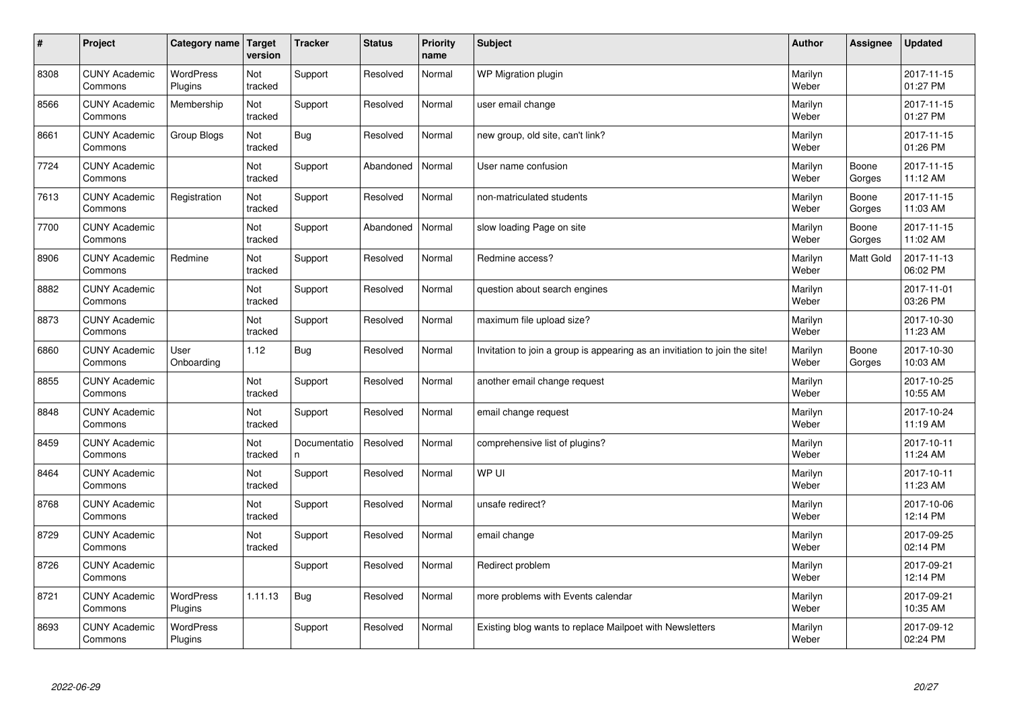| $\sharp$ | Project                         | Category name   Target      | version        | <b>Tracker</b>     | <b>Status</b> | <b>Priority</b><br>name | <b>Subject</b>                                                              | <b>Author</b>    | Assignee        | <b>Updated</b>         |
|----------|---------------------------------|-----------------------------|----------------|--------------------|---------------|-------------------------|-----------------------------------------------------------------------------|------------------|-----------------|------------------------|
| 8308     | <b>CUNY Academic</b><br>Commons | <b>WordPress</b><br>Plugins | Not<br>tracked | Support            | Resolved      | Normal                  | WP Migration plugin                                                         | Marilyn<br>Weber |                 | 2017-11-15<br>01:27 PM |
| 8566     | <b>CUNY Academic</b><br>Commons | Membership                  | Not<br>tracked | Support            | Resolved      | Normal                  | user email change                                                           | Marilyn<br>Weber |                 | 2017-11-15<br>01:27 PM |
| 8661     | <b>CUNY Academic</b><br>Commons | Group Blogs                 | Not<br>tracked | Bug                | Resolved      | Normal                  | new group, old site, can't link?                                            | Marilyn<br>Weber |                 | 2017-11-15<br>01:26 PM |
| 7724     | <b>CUNY Academic</b><br>Commons |                             | Not<br>tracked | Support            | Abandoned     | Normal                  | User name confusion                                                         | Marilyn<br>Weber | Boone<br>Gorges | 2017-11-15<br>11:12 AM |
| 7613     | <b>CUNY Academic</b><br>Commons | Registration                | Not<br>tracked | Support            | Resolved      | Normal                  | non-matriculated students                                                   | Marilyn<br>Weber | Boone<br>Gorges | 2017-11-15<br>11:03 AM |
| 7700     | <b>CUNY Academic</b><br>Commons |                             | Not<br>tracked | Support            | Abandoned     | Normal                  | slow loading Page on site                                                   | Marilyn<br>Weber | Boone<br>Gorges | 2017-11-15<br>11:02 AM |
| 8906     | <b>CUNY Academic</b><br>Commons | Redmine                     | Not<br>tracked | Support            | Resolved      | Normal                  | Redmine access?                                                             | Marilyn<br>Weber | Matt Gold       | 2017-11-13<br>06:02 PM |
| 8882     | <b>CUNY Academic</b><br>Commons |                             | Not<br>tracked | Support            | Resolved      | Normal                  | question about search engines                                               | Marilyn<br>Weber |                 | 2017-11-01<br>03:26 PM |
| 8873     | <b>CUNY Academic</b><br>Commons |                             | Not<br>tracked | Support            | Resolved      | Normal                  | maximum file upload size?                                                   | Marilyn<br>Weber |                 | 2017-10-30<br>11:23 AM |
| 6860     | <b>CUNY Academic</b><br>Commons | User<br>Onboarding          | 1.12           | Bug                | Resolved      | Normal                  | Invitation to join a group is appearing as an invitiation to join the site! | Marilyn<br>Weber | Boone<br>Gorges | 2017-10-30<br>10:03 AM |
| 8855     | <b>CUNY Academic</b><br>Commons |                             | Not<br>tracked | Support            | Resolved      | Normal                  | another email change request                                                | Marilyn<br>Weber |                 | 2017-10-25<br>10:55 AM |
| 8848     | <b>CUNY Academic</b><br>Commons |                             | Not<br>tracked | Support            | Resolved      | Normal                  | email change request                                                        | Marilyn<br>Weber |                 | 2017-10-24<br>11:19 AM |
| 8459     | <b>CUNY Academic</b><br>Commons |                             | Not<br>tracked | Documentatio<br>n. | Resolved      | Normal                  | comprehensive list of plugins?                                              | Marilyn<br>Weber |                 | 2017-10-11<br>11:24 AM |
| 8464     | <b>CUNY Academic</b><br>Commons |                             | Not<br>tracked | Support            | Resolved      | Normal                  | WP UI                                                                       | Marilyn<br>Weber |                 | 2017-10-11<br>11:23 AM |
| 8768     | <b>CUNY Academic</b><br>Commons |                             | Not<br>tracked | Support            | Resolved      | Normal                  | unsafe redirect?                                                            | Marilyn<br>Weber |                 | 2017-10-06<br>12:14 PM |
| 8729     | <b>CUNY Academic</b><br>Commons |                             | Not<br>tracked | Support            | Resolved      | Normal                  | email change                                                                | Marilyn<br>Weber |                 | 2017-09-25<br>02:14 PM |
| 8726     | <b>CUNY Academic</b><br>Commons |                             |                | Support            | Resolved      | Normal                  | Redirect problem                                                            | Marilyn<br>Weber |                 | 2017-09-21<br>12:14 PM |
| 8721     | <b>CUNY Academic</b><br>Commons | <b>WordPress</b><br>Plugins | 1.11.13        | <b>Bug</b>         | Resolved      | Normal                  | more problems with Events calendar                                          | Marilyn<br>Weber |                 | 2017-09-21<br>10:35 AM |
| 8693     | <b>CUNY Academic</b><br>Commons | <b>WordPress</b><br>Plugins |                | Support            | Resolved      | Normal                  | Existing blog wants to replace Mailpoet with Newsletters                    | Marilyn<br>Weber |                 | 2017-09-12<br>02:24 PM |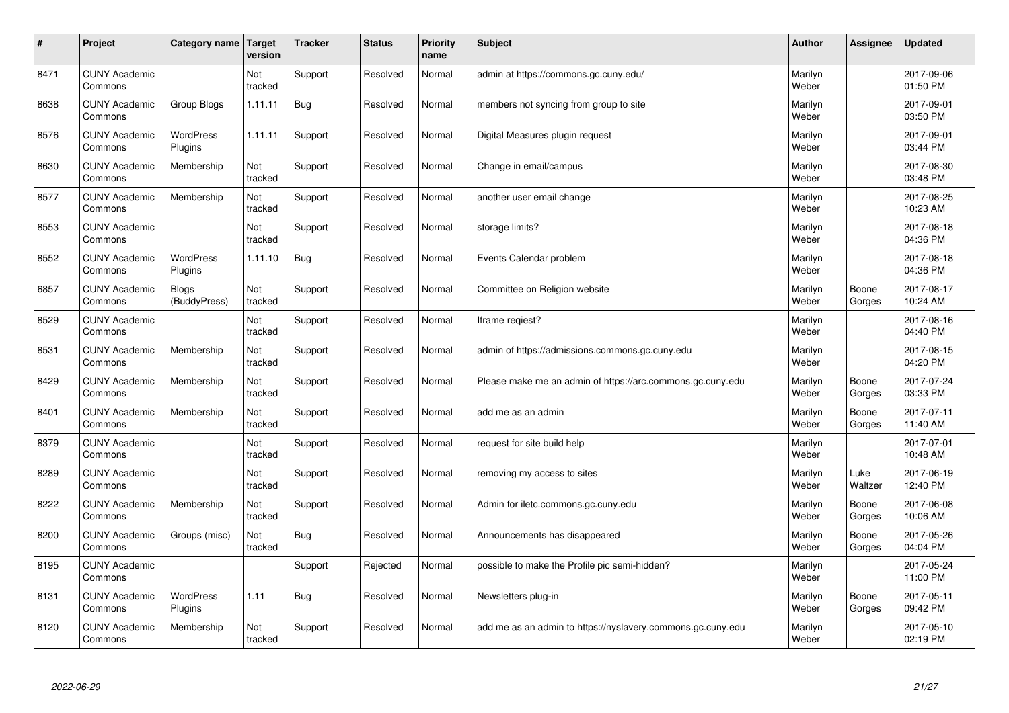| #    | Project                         | Category name   Target      | version        | <b>Tracker</b> | <b>Status</b> | <b>Priority</b><br>name | <b>Subject</b>                                              | <b>Author</b>    | Assignee        | <b>Updated</b>         |
|------|---------------------------------|-----------------------------|----------------|----------------|---------------|-------------------------|-------------------------------------------------------------|------------------|-----------------|------------------------|
| 8471 | <b>CUNY Academic</b><br>Commons |                             | Not<br>tracked | Support        | Resolved      | Normal                  | admin at https://commons.gc.cuny.edu/                       | Marilyn<br>Weber |                 | 2017-09-06<br>01:50 PM |
| 8638 | <b>CUNY Academic</b><br>Commons | Group Blogs                 | 1.11.11        | Bug            | Resolved      | Normal                  | members not syncing from group to site                      | Marilyn<br>Weber |                 | 2017-09-01<br>03:50 PM |
| 8576 | <b>CUNY Academic</b><br>Commons | <b>WordPress</b><br>Plugins | 1.11.11        | Support        | Resolved      | Normal                  | Digital Measures plugin request                             | Marilyn<br>Weber |                 | 2017-09-01<br>03:44 PM |
| 8630 | <b>CUNY Academic</b><br>Commons | Membership                  | Not<br>tracked | Support        | Resolved      | Normal                  | Change in email/campus                                      | Marilyn<br>Weber |                 | 2017-08-30<br>03:48 PM |
| 8577 | <b>CUNY Academic</b><br>Commons | Membership                  | Not<br>tracked | Support        | Resolved      | Normal                  | another user email change                                   | Marilyn<br>Weber |                 | 2017-08-25<br>10:23 AM |
| 8553 | <b>CUNY Academic</b><br>Commons |                             | Not<br>tracked | Support        | Resolved      | Normal                  | storage limits?                                             | Marilyn<br>Weber |                 | 2017-08-18<br>04:36 PM |
| 8552 | <b>CUNY Academic</b><br>Commons | <b>WordPress</b><br>Plugins | 1.11.10        | Bug            | Resolved      | Normal                  | Events Calendar problem                                     | Marilyn<br>Weber |                 | 2017-08-18<br>04:36 PM |
| 6857 | <b>CUNY Academic</b><br>Commons | Blogs<br>(BuddyPress)       | Not<br>tracked | Support        | Resolved      | Normal                  | Committee on Religion website                               | Marilyn<br>Weber | Boone<br>Gorges | 2017-08-17<br>10:24 AM |
| 8529 | <b>CUNY Academic</b><br>Commons |                             | Not<br>tracked | Support        | Resolved      | Normal                  | Iframe regiest?                                             | Marilyn<br>Weber |                 | 2017-08-16<br>04:40 PM |
| 8531 | <b>CUNY Academic</b><br>Commons | Membership                  | Not<br>tracked | Support        | Resolved      | Normal                  | admin of https://admissions.commons.gc.cuny.edu             | Marilyn<br>Weber |                 | 2017-08-15<br>04:20 PM |
| 8429 | <b>CUNY Academic</b><br>Commons | Membership                  | Not<br>tracked | Support        | Resolved      | Normal                  | Please make me an admin of https://arc.commons.gc.cuny.edu  | Marilyn<br>Weber | Boone<br>Gorges | 2017-07-24<br>03:33 PM |
| 8401 | <b>CUNY Academic</b><br>Commons | Membership                  | Not<br>tracked | Support        | Resolved      | Normal                  | add me as an admin                                          | Marilyn<br>Weber | Boone<br>Gorges | 2017-07-11<br>11:40 AM |
| 8379 | <b>CUNY Academic</b><br>Commons |                             | Not<br>tracked | Support        | Resolved      | Normal                  | request for site build help                                 | Marilyn<br>Weber |                 | 2017-07-01<br>10:48 AM |
| 8289 | <b>CUNY Academic</b><br>Commons |                             | Not<br>tracked | Support        | Resolved      | Normal                  | removing my access to sites                                 | Marilyn<br>Weber | Luke<br>Waltzer | 2017-06-19<br>12:40 PM |
| 8222 | <b>CUNY Academic</b><br>Commons | Membership                  | Not<br>tracked | Support        | Resolved      | Normal                  | Admin for iletc.commons.gc.cuny.edu                         | Marilyn<br>Weber | Boone<br>Gorges | 2017-06-08<br>10:06 AM |
| 8200 | <b>CUNY Academic</b><br>Commons | Groups (misc)               | Not<br>tracked | Bug            | Resolved      | Normal                  | Announcements has disappeared                               | Marilyn<br>Weber | Boone<br>Gorges | 2017-05-26<br>04:04 PM |
| 8195 | <b>CUNY Academic</b><br>Commons |                             |                | Support        | Rejected      | Normal                  | possible to make the Profile pic semi-hidden?               | Marilyn<br>Weber |                 | 2017-05-24<br>11:00 PM |
| 8131 | <b>CUNY Academic</b><br>Commons | <b>WordPress</b><br>Plugins | 1.11           | <b>Bug</b>     | Resolved      | Normal                  | Newsletters plug-in                                         | Marilyn<br>Weber | Boone<br>Gorges | 2017-05-11<br>09:42 PM |
| 8120 | <b>CUNY Academic</b><br>Commons | Membership                  | Not<br>tracked | Support        | Resolved      | Normal                  | add me as an admin to https://nyslavery.commons.gc.cuny.edu | Marilyn<br>Weber |                 | 2017-05-10<br>02:19 PM |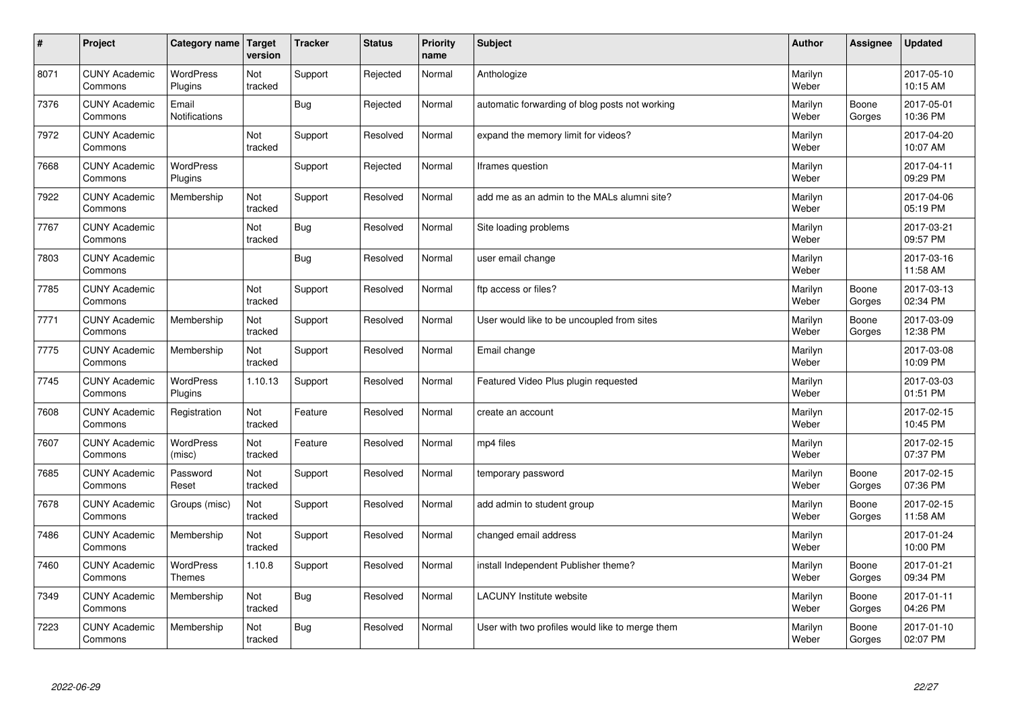| $\sharp$ | Project                         | Category name   Target        | version        | <b>Tracker</b> | <b>Status</b> | <b>Priority</b><br>name | <b>Subject</b>                                  | <b>Author</b>    | Assignee        | <b>Updated</b>         |
|----------|---------------------------------|-------------------------------|----------------|----------------|---------------|-------------------------|-------------------------------------------------|------------------|-----------------|------------------------|
| 8071     | <b>CUNY Academic</b><br>Commons | <b>WordPress</b><br>Plugins   | Not<br>tracked | Support        | Rejected      | Normal                  | Anthologize                                     | Marilyn<br>Weber |                 | 2017-05-10<br>10:15 AM |
| 7376     | <b>CUNY Academic</b><br>Commons | Email<br><b>Notifications</b> |                | Bug            | Rejected      | Normal                  | automatic forwarding of blog posts not working  | Marilyn<br>Weber | Boone<br>Gorges | 2017-05-01<br>10:36 PM |
| 7972     | <b>CUNY Academic</b><br>Commons |                               | Not<br>tracked | Support        | Resolved      | Normal                  | expand the memory limit for videos?             | Marilyn<br>Weber |                 | 2017-04-20<br>10:07 AM |
| 7668     | <b>CUNY Academic</b><br>Commons | <b>WordPress</b><br>Plugins   |                | Support        | Rejected      | Normal                  | Iframes question                                | Marilyn<br>Weber |                 | 2017-04-11<br>09:29 PM |
| 7922     | <b>CUNY Academic</b><br>Commons | Membership                    | Not<br>tracked | Support        | Resolved      | Normal                  | add me as an admin to the MALs alumni site?     | Marilyn<br>Weber |                 | 2017-04-06<br>05:19 PM |
| 7767     | <b>CUNY Academic</b><br>Commons |                               | Not<br>tracked | Bug            | Resolved      | Normal                  | Site loading problems                           | Marilyn<br>Weber |                 | 2017-03-21<br>09:57 PM |
| 7803     | <b>CUNY Academic</b><br>Commons |                               |                | Bug            | Resolved      | Normal                  | user email change                               | Marilyn<br>Weber |                 | 2017-03-16<br>11:58 AM |
| 7785     | <b>CUNY Academic</b><br>Commons |                               | Not<br>tracked | Support        | Resolved      | Normal                  | ftp access or files?                            | Marilyn<br>Weber | Boone<br>Gorges | 2017-03-13<br>02:34 PM |
| 7771     | <b>CUNY Academic</b><br>Commons | Membership                    | Not<br>tracked | Support        | Resolved      | Normal                  | User would like to be uncoupled from sites      | Marilyn<br>Weber | Boone<br>Gorges | 2017-03-09<br>12:38 PM |
| 7775     | <b>CUNY Academic</b><br>Commons | Membership                    | Not<br>tracked | Support        | Resolved      | Normal                  | Email change                                    | Marilyn<br>Weber |                 | 2017-03-08<br>10:09 PM |
| 7745     | <b>CUNY Academic</b><br>Commons | WordPress<br>Plugins          | 1.10.13        | Support        | Resolved      | Normal                  | Featured Video Plus plugin requested            | Marilyn<br>Weber |                 | 2017-03-03<br>01:51 PM |
| 7608     | <b>CUNY Academic</b><br>Commons | Registration                  | Not<br>tracked | Feature        | Resolved      | Normal                  | create an account                               | Marilyn<br>Weber |                 | 2017-02-15<br>10:45 PM |
| 7607     | <b>CUNY Academic</b><br>Commons | WordPress<br>(misc)           | Not<br>tracked | Feature        | Resolved      | Normal                  | mp4 files                                       | Marilyn<br>Weber |                 | 2017-02-15<br>07:37 PM |
| 7685     | <b>CUNY Academic</b><br>Commons | Password<br>Reset             | Not<br>tracked | Support        | Resolved      | Normal                  | temporary password                              | Marilyn<br>Weber | Boone<br>Gorges | 2017-02-15<br>07:36 PM |
| 7678     | <b>CUNY Academic</b><br>Commons | Groups (misc)                 | Not<br>tracked | Support        | Resolved      | Normal                  | add admin to student group                      | Marilyn<br>Weber | Boone<br>Gorges | 2017-02-15<br>11:58 AM |
| 7486     | <b>CUNY Academic</b><br>Commons | Membership                    | Not<br>tracked | Support        | Resolved      | Normal                  | changed email address                           | Marilyn<br>Weber |                 | 2017-01-24<br>10:00 PM |
| 7460     | <b>CUNY Academic</b><br>Commons | WordPress<br><b>Themes</b>    | 1.10.8         | Support        | Resolved      | Normal                  | install Independent Publisher theme?            | Marilyn<br>Weber | Boone<br>Gorges | 2017-01-21<br>09:34 PM |
| 7349     | <b>CUNY Academic</b><br>Commons | Membership                    | Not<br>tracked | Bug            | Resolved      | Normal                  | <b>LACUNY</b> Institute website                 | Marilyn<br>Weber | Boone<br>Gorges | 2017-01-11<br>04:26 PM |
| 7223     | <b>CUNY Academic</b><br>Commons | Membership                    | Not<br>tracked | Bug            | Resolved      | Normal                  | User with two profiles would like to merge them | Marilyn<br>Weber | Boone<br>Gorges | 2017-01-10<br>02:07 PM |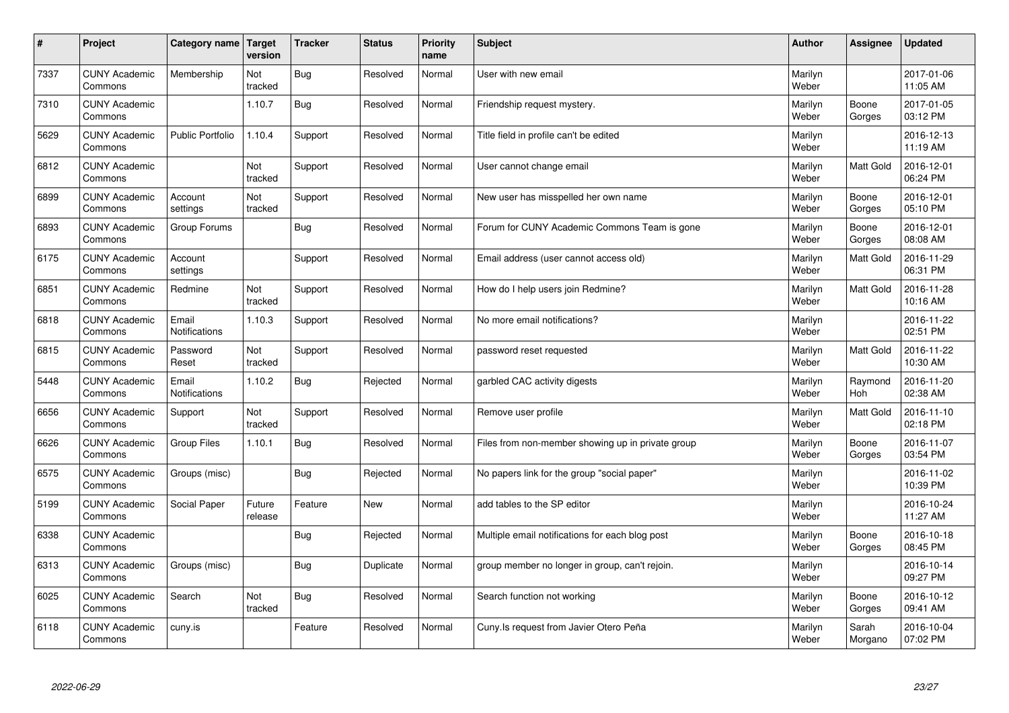| $\sharp$ | Project                         | <b>Category name</b>          | Target<br>version | <b>Tracker</b> | <b>Status</b> | <b>Priority</b><br>name | <b>Subject</b>                                    | <b>Author</b>    | Assignee         | <b>Updated</b>         |
|----------|---------------------------------|-------------------------------|-------------------|----------------|---------------|-------------------------|---------------------------------------------------|------------------|------------------|------------------------|
| 7337     | <b>CUNY Academic</b><br>Commons | Membership                    | Not<br>tracked    | Bug            | Resolved      | Normal                  | User with new email                               | Marilyn<br>Weber |                  | 2017-01-06<br>11:05 AM |
| 7310     | <b>CUNY Academic</b><br>Commons |                               | 1.10.7            | Bug            | Resolved      | Normal                  | Friendship request mystery.                       | Marilyn<br>Weber | Boone<br>Gorges  | 2017-01-05<br>03:12 PM |
| 5629     | <b>CUNY Academic</b><br>Commons | <b>Public Portfolio</b>       | 1.10.4            | Support        | Resolved      | Normal                  | Title field in profile can't be edited            | Marilyn<br>Weber |                  | 2016-12-13<br>11:19 AM |
| 6812     | <b>CUNY Academic</b><br>Commons |                               | Not<br>tracked    | Support        | Resolved      | Normal                  | User cannot change email                          | Marilyn<br>Weber | <b>Matt Gold</b> | 2016-12-01<br>06:24 PM |
| 6899     | <b>CUNY Academic</b><br>Commons | Account<br>settings           | Not<br>tracked    | Support        | Resolved      | Normal                  | New user has misspelled her own name              | Marilyn<br>Weber | Boone<br>Gorges  | 2016-12-01<br>05:10 PM |
| 6893     | <b>CUNY Academic</b><br>Commons | Group Forums                  |                   | <b>Bug</b>     | Resolved      | Normal                  | Forum for CUNY Academic Commons Team is gone      | Marilyn<br>Weber | Boone<br>Gorges  | 2016-12-01<br>08:08 AM |
| 6175     | <b>CUNY Academic</b><br>Commons | Account<br>settings           |                   | Support        | Resolved      | Normal                  | Email address (user cannot access old)            | Marilyn<br>Weber | <b>Matt Gold</b> | 2016-11-29<br>06:31 PM |
| 6851     | <b>CUNY Academic</b><br>Commons | Redmine                       | Not<br>tracked    | Support        | Resolved      | Normal                  | How do I help users join Redmine?                 | Marilyn<br>Weber | <b>Matt Gold</b> | 2016-11-28<br>10:16 AM |
| 6818     | <b>CUNY Academic</b><br>Commons | Email<br><b>Notifications</b> | 1.10.3            | Support        | Resolved      | Normal                  | No more email notifications?                      | Marilyn<br>Weber |                  | 2016-11-22<br>02:51 PM |
| 6815     | <b>CUNY Academic</b><br>Commons | Password<br>Reset             | Not<br>tracked    | Support        | Resolved      | Normal                  | password reset requested                          | Marilyn<br>Weber | Matt Gold        | 2016-11-22<br>10:30 AM |
| 5448     | <b>CUNY Academic</b><br>Commons | Email<br>Notifications        | 1.10.2            | <b>Bug</b>     | Rejected      | Normal                  | garbled CAC activity digests                      | Marilyn<br>Weber | Raymond<br>Hoh   | 2016-11-20<br>02:38 AM |
| 6656     | <b>CUNY Academic</b><br>Commons | Support                       | Not<br>tracked    | Support        | Resolved      | Normal                  | Remove user profile                               | Marilyn<br>Weber | <b>Matt Gold</b> | 2016-11-10<br>02:18 PM |
| 6626     | <b>CUNY Academic</b><br>Commons | <b>Group Files</b>            | 1.10.1            | Bug            | Resolved      | Normal                  | Files from non-member showing up in private group | Marilyn<br>Weber | Boone<br>Gorges  | 2016-11-07<br>03:54 PM |
| 6575     | <b>CUNY Academic</b><br>Commons | Groups (misc)                 |                   | Bug            | Rejected      | Normal                  | No papers link for the group "social paper"       | Marilyn<br>Weber |                  | 2016-11-02<br>10:39 PM |
| 5199     | <b>CUNY Academic</b><br>Commons | Social Paper                  | Future<br>release | Feature        | <b>New</b>    | Normal                  | add tables to the SP editor                       | Marilyn<br>Weber |                  | 2016-10-24<br>11:27 AM |
| 6338     | <b>CUNY Academic</b><br>Commons |                               |                   | <b>Bug</b>     | Rejected      | Normal                  | Multiple email notifications for each blog post   | Marilyn<br>Weber | Boone<br>Gorges  | 2016-10-18<br>08:45 PM |
| 6313     | <b>CUNY Academic</b><br>Commons | Groups (misc)                 |                   | Bug            | Duplicate     | Normal                  | group member no longer in group, can't rejoin.    | Marilyn<br>Weber |                  | 2016-10-14<br>09:27 PM |
| 6025     | <b>CUNY Academic</b><br>Commons | Search                        | Not<br>tracked    | <b>Bug</b>     | Resolved      | Normal                  | Search function not working                       | Marilyn<br>Weber | Boone<br>Gorges  | 2016-10-12<br>09:41 AM |
| 6118     | <b>CUNY Academic</b><br>Commons | cuny.is                       |                   | Feature        | Resolved      | Normal                  | Cuny. Is request from Javier Otero Peña           | Marilyn<br>Weber | Sarah<br>Morgano | 2016-10-04<br>07:02 PM |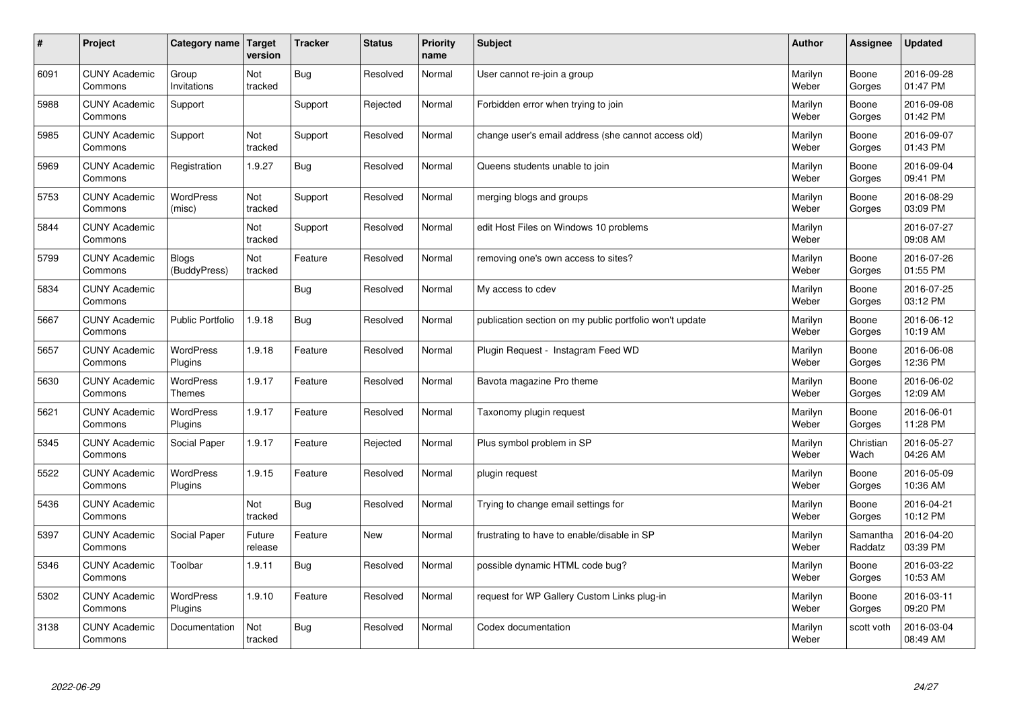| $\sharp$ | Project                         | Category name   Target      | version           | <b>Tracker</b> | <b>Status</b> | <b>Priority</b><br>name | <b>Subject</b>                                          | <b>Author</b>    | Assignee            | <b>Updated</b>         |
|----------|---------------------------------|-----------------------------|-------------------|----------------|---------------|-------------------------|---------------------------------------------------------|------------------|---------------------|------------------------|
| 6091     | <b>CUNY Academic</b><br>Commons | Group<br>Invitations        | Not<br>tracked    | <b>Bug</b>     | Resolved      | Normal                  | User cannot re-join a group                             | Marilyn<br>Weber | Boone<br>Gorges     | 2016-09-28<br>01:47 PM |
| 5988     | <b>CUNY Academic</b><br>Commons | Support                     |                   | Support        | Rejected      | Normal                  | Forbidden error when trying to join                     | Marilyn<br>Weber | Boone<br>Gorges     | 2016-09-08<br>01:42 PM |
| 5985     | <b>CUNY Academic</b><br>Commons | Support                     | Not<br>tracked    | Support        | Resolved      | Normal                  | change user's email address (she cannot access old)     | Marilyn<br>Weber | Boone<br>Gorges     | 2016-09-07<br>01:43 PM |
| 5969     | <b>CUNY Academic</b><br>Commons | Registration                | 1.9.27            | <b>Bug</b>     | Resolved      | Normal                  | Queens students unable to join                          | Marilyn<br>Weber | Boone<br>Gorges     | 2016-09-04<br>09:41 PM |
| 5753     | <b>CUNY Academic</b><br>Commons | <b>WordPress</b><br>(misc)  | Not<br>tracked    | Support        | Resolved      | Normal                  | merging blogs and groups                                | Marilyn<br>Weber | Boone<br>Gorges     | 2016-08-29<br>03:09 PM |
| 5844     | <b>CUNY Academic</b><br>Commons |                             | Not<br>tracked    | Support        | Resolved      | Normal                  | edit Host Files on Windows 10 problems                  | Marilyn<br>Weber |                     | 2016-07-27<br>09:08 AM |
| 5799     | <b>CUNY Academic</b><br>Commons | Blogs<br>(BuddyPress)       | Not<br>tracked    | Feature        | Resolved      | Normal                  | removing one's own access to sites?                     | Marilyn<br>Weber | Boone<br>Gorges     | 2016-07-26<br>01:55 PM |
| 5834     | <b>CUNY Academic</b><br>Commons |                             |                   | Bug            | Resolved      | Normal                  | My access to cdev                                       | Marilyn<br>Weber | Boone<br>Gorges     | 2016-07-25<br>03:12 PM |
| 5667     | <b>CUNY Academic</b><br>Commons | <b>Public Portfolio</b>     | 1.9.18            | <b>Bug</b>     | Resolved      | Normal                  | publication section on my public portfolio won't update | Marilyn<br>Weber | Boone<br>Gorges     | 2016-06-12<br>10:19 AM |
| 5657     | <b>CUNY Academic</b><br>Commons | WordPress<br>Plugins        | 1.9.18            | Feature        | Resolved      | Normal                  | Plugin Request - Instagram Feed WD                      | Marilyn<br>Weber | Boone<br>Gorges     | 2016-06-08<br>12:36 PM |
| 5630     | <b>CUNY Academic</b><br>Commons | WordPress<br><b>Themes</b>  | 1.9.17            | Feature        | Resolved      | Normal                  | Bavota magazine Pro theme                               | Marilyn<br>Weber | Boone<br>Gorges     | 2016-06-02<br>12:09 AM |
| 5621     | <b>CUNY Academic</b><br>Commons | <b>WordPress</b><br>Plugins | 1.9.17            | Feature        | Resolved      | Normal                  | Taxonomy plugin request                                 | Marilyn<br>Weber | Boone<br>Gorges     | 2016-06-01<br>11:28 PM |
| 5345     | <b>CUNY Academic</b><br>Commons | Social Paper                | 1.9.17            | Feature        | Rejected      | Normal                  | Plus symbol problem in SP                               | Marilyn<br>Weber | Christian<br>Wach   | 2016-05-27<br>04:26 AM |
| 5522     | <b>CUNY Academic</b><br>Commons | WordPress<br>Plugins        | 1.9.15            | Feature        | Resolved      | Normal                  | plugin request                                          | Marilyn<br>Weber | Boone<br>Gorges     | 2016-05-09<br>10:36 AM |
| 5436     | <b>CUNY Academic</b><br>Commons |                             | Not<br>tracked    | <b>Bug</b>     | Resolved      | Normal                  | Trying to change email settings for                     | Marilyn<br>Weber | Boone<br>Gorges     | 2016-04-21<br>10:12 PM |
| 5397     | <b>CUNY Academic</b><br>Commons | Social Paper                | Future<br>release | Feature        | <b>New</b>    | Normal                  | frustrating to have to enable/disable in SP             | Marilyn<br>Weber | Samantha<br>Raddatz | 2016-04-20<br>03:39 PM |
| 5346     | <b>CUNY Academic</b><br>Commons | Toolbar                     | 1.9.11            | Bug            | Resolved      | Normal                  | possible dynamic HTML code bug?                         | Marilyn<br>Weber | Boone<br>Gorges     | 2016-03-22<br>10:53 AM |
| 5302     | <b>CUNY Academic</b><br>Commons | WordPress<br>Plugins        | 1.9.10            | Feature        | Resolved      | Normal                  | request for WP Gallery Custom Links plug-in             | Marilyn<br>Weber | Boone<br>Gorges     | 2016-03-11<br>09:20 PM |
| 3138     | <b>CUNY Academic</b><br>Commons | Documentation               | Not<br>tracked    | Bug            | Resolved      | Normal                  | Codex documentation                                     | Marilyn<br>Weber | scott voth          | 2016-03-04<br>08:49 AM |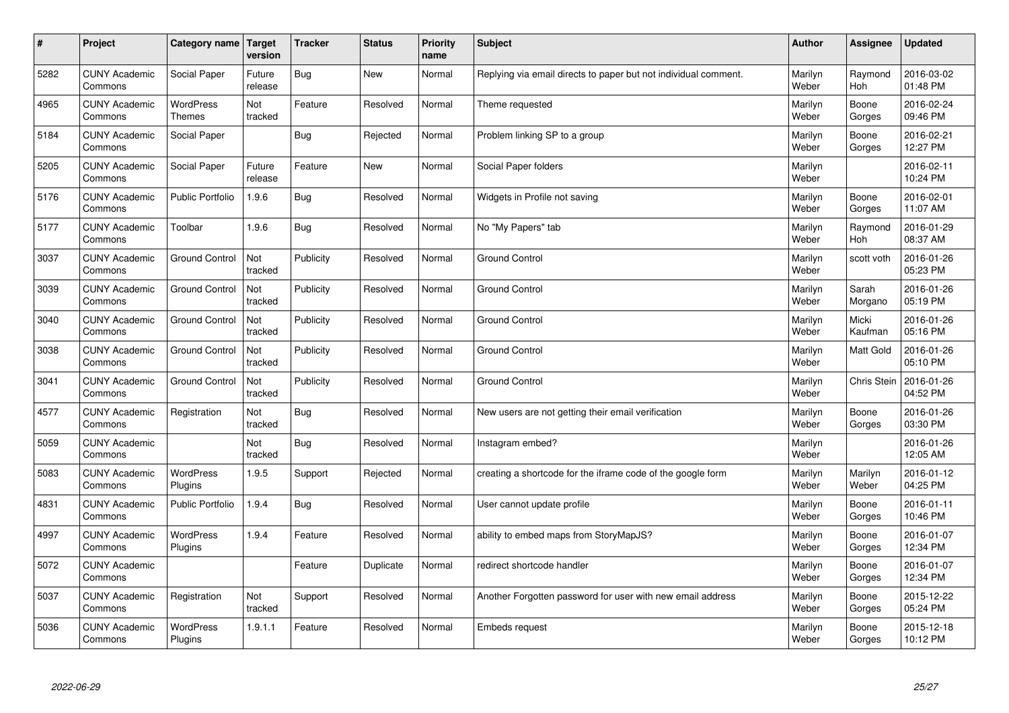| $\sharp$ | Project                         | Category name   Target            | version           | <b>Tracker</b> | <b>Status</b> | <b>Priority</b><br>name | <b>Subject</b>                                                  | <b>Author</b>    | <b>Assignee</b>    | <b>Updated</b>         |
|----------|---------------------------------|-----------------------------------|-------------------|----------------|---------------|-------------------------|-----------------------------------------------------------------|------------------|--------------------|------------------------|
| 5282     | <b>CUNY Academic</b><br>Commons | Social Paper                      | Future<br>release | <b>Bug</b>     | <b>New</b>    | Normal                  | Replying via email directs to paper but not individual comment. | Marilyn<br>Weber | Raymond<br>Hoh     | 2016-03-02<br>01:48 PM |
| 4965     | <b>CUNY Academic</b><br>Commons | <b>WordPress</b><br><b>Themes</b> | Not<br>tracked    | Feature        | Resolved      | Normal                  | Theme requested                                                 | Marilyn<br>Weber | Boone<br>Gorges    | 2016-02-24<br>09:46 PM |
| 5184     | <b>CUNY Academic</b><br>Commons | Social Paper                      |                   | Bug            | Rejected      | Normal                  | Problem linking SP to a group                                   | Marilyn<br>Weber | Boone<br>Gorges    | 2016-02-21<br>12:27 PM |
| 5205     | <b>CUNY Academic</b><br>Commons | Social Paper                      | Future<br>release | Feature        | <b>New</b>    | Normal                  | Social Paper folders                                            | Marilyn<br>Weber |                    | 2016-02-11<br>10:24 PM |
| 5176     | <b>CUNY Academic</b><br>Commons | <b>Public Portfolio</b>           | 1.9.6             | <b>Bug</b>     | Resolved      | Normal                  | Widgets in Profile not saving                                   | Marilyn<br>Weber | Boone<br>Gorges    | 2016-02-01<br>11:07 AM |
| 5177     | <b>CUNY Academic</b><br>Commons | Toolbar                           | 1.9.6             | Bug            | Resolved      | Normal                  | No "My Papers" tab                                              | Marilyn<br>Weber | Raymond<br>Hoh     | 2016-01-29<br>08:37 AM |
| 3037     | <b>CUNY Academic</b><br>Commons | <b>Ground Control</b>             | Not<br>tracked    | Publicity      | Resolved      | Normal                  | Ground Control                                                  | Marilyn<br>Weber | scott voth         | 2016-01-26<br>05:23 PM |
| 3039     | <b>CUNY Academic</b><br>Commons | <b>Ground Control</b>             | Not<br>tracked    | Publicity      | Resolved      | Normal                  | Ground Control                                                  | Marilyn<br>Weber | Sarah<br>Morgano   | 2016-01-26<br>05:19 PM |
| 3040     | <b>CUNY Academic</b><br>Commons | <b>Ground Control</b>             | Not<br>tracked    | Publicity      | Resolved      | Normal                  | <b>Ground Control</b>                                           | Marilyn<br>Weber | Micki<br>Kaufman   | 2016-01-26<br>05:16 PM |
| 3038     | <b>CUNY Academic</b><br>Commons | <b>Ground Control</b>             | Not<br>tracked    | Publicity      | Resolved      | Normal                  | Ground Control                                                  | Marilyn<br>Weber | Matt Gold          | 2016-01-26<br>05:10 PM |
| 3041     | <b>CUNY Academic</b><br>Commons | <b>Ground Control</b>             | Not<br>tracked    | Publicity      | Resolved      | Normal                  | Ground Control                                                  | Marilyn<br>Weber | <b>Chris Stein</b> | 2016-01-26<br>04:52 PM |
| 4577     | <b>CUNY Academic</b><br>Commons | Registration                      | Not<br>tracked    | Bug            | Resolved      | Normal                  | New users are not getting their email verification              | Marilyn<br>Weber | Boone<br>Gorges    | 2016-01-26<br>03:30 PM |
| 5059     | <b>CUNY Academic</b><br>Commons |                                   | Not<br>tracked    | Bug            | Resolved      | Normal                  | Instagram embed?                                                | Marilyn<br>Weber |                    | 2016-01-26<br>12:05 AM |
| 5083     | <b>CUNY Academic</b><br>Commons | WordPress<br>Plugins              | 1.9.5             | Support        | Rejected      | Normal                  | creating a shortcode for the iframe code of the google form     | Marilyn<br>Weber | Marilyn<br>Weber   | 2016-01-12<br>04:25 PM |
| 4831     | <b>CUNY Academic</b><br>Commons | <b>Public Portfolio</b>           | 1.9.4             | Bug            | Resolved      | Normal                  | User cannot update profile                                      | Marilyn<br>Weber | Boone<br>Gorges    | 2016-01-11<br>10:46 PM |
| 4997     | <b>CUNY Academic</b><br>Commons | WordPress<br>Plugins              | 1.9.4             | Feature        | Resolved      | Normal                  | ability to embed maps from StoryMapJS?                          | Marilyn<br>Weber | Boone<br>Gorges    | 2016-01-07<br>12:34 PM |
| 5072     | <b>CUNY Academic</b><br>Commons |                                   |                   | Feature        | Duplicate     | Normal                  | redirect shortcode handler                                      | Marilyn<br>Weber | Boone<br>Gorges    | 2016-01-07<br>12:34 PM |
| 5037     | <b>CUNY Academic</b><br>Commons | Registration                      | Not<br>tracked    | Support        | Resolved      | Normal                  | Another Forgotten password for user with new email address      | Marilyn<br>Weber | Boone<br>Gorges    | 2015-12-22<br>05:24 PM |
| 5036     | <b>CUNY Academic</b><br>Commons | <b>WordPress</b><br>Plugins       | 1.9.1.1           | Feature        | Resolved      | Normal                  | Embeds request                                                  | Marilyn<br>Weber | Boone<br>Gorges    | 2015-12-18<br>10:12 PM |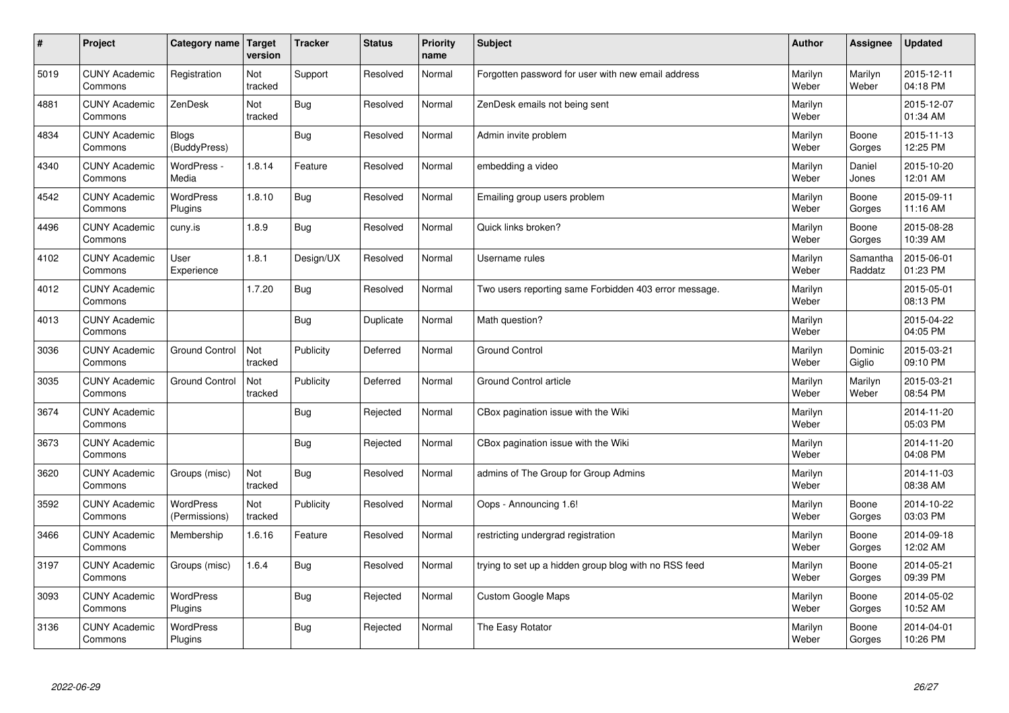| $\sharp$ | Project                         | Category name   Target            | version        | <b>Tracker</b> | <b>Status</b> | <b>Priority</b><br>name | <b>Subject</b>                                        | <b>Author</b>    | Assignee            | <b>Updated</b>         |
|----------|---------------------------------|-----------------------------------|----------------|----------------|---------------|-------------------------|-------------------------------------------------------|------------------|---------------------|------------------------|
| 5019     | <b>CUNY Academic</b><br>Commons | Registration                      | Not<br>tracked | Support        | Resolved      | Normal                  | Forgotten password for user with new email address    | Marilyn<br>Weber | Marilyn<br>Weber    | 2015-12-11<br>04:18 PM |
| 4881     | <b>CUNY Academic</b><br>Commons | ZenDesk                           | Not<br>tracked | Bug            | Resolved      | Normal                  | ZenDesk emails not being sent                         | Marilyn<br>Weber |                     | 2015-12-07<br>01:34 AM |
| 4834     | <b>CUNY Academic</b><br>Commons | <b>Blogs</b><br>(BuddyPress)      |                | Bug            | Resolved      | Normal                  | Admin invite problem                                  | Marilyn<br>Weber | Boone<br>Gorges     | 2015-11-13<br>12:25 PM |
| 4340     | <b>CUNY Academic</b><br>Commons | WordPress -<br>Media              | 1.8.14         | Feature        | Resolved      | Normal                  | embedding a video                                     | Marilyn<br>Weber | Daniel<br>Jones     | 2015-10-20<br>12:01 AM |
| 4542     | <b>CUNY Academic</b><br>Commons | <b>WordPress</b><br>Plugins       | 1.8.10         | Bug            | Resolved      | Normal                  | Emailing group users problem                          | Marilyn<br>Weber | Boone<br>Gorges     | 2015-09-11<br>11:16 AM |
| 4496     | <b>CUNY Academic</b><br>Commons | cuny.is                           | 1.8.9          | Bug            | Resolved      | Normal                  | Quick links broken?                                   | Marilyn<br>Weber | Boone<br>Gorges     | 2015-08-28<br>10:39 AM |
| 4102     | <b>CUNY Academic</b><br>Commons | User<br>Experience                | 1.8.1          | Design/UX      | Resolved      | Normal                  | Username rules                                        | Marilyn<br>Weber | Samantha<br>Raddatz | 2015-06-01<br>01:23 PM |
| 4012     | <b>CUNY Academic</b><br>Commons |                                   | 1.7.20         | Bug            | Resolved      | Normal                  | Two users reporting same Forbidden 403 error message. | Marilyn<br>Weber |                     | 2015-05-01<br>08:13 PM |
| 4013     | <b>CUNY Academic</b><br>Commons |                                   |                | <b>Bug</b>     | Duplicate     | Normal                  | Math question?                                        | Marilyn<br>Weber |                     | 2015-04-22<br>04:05 PM |
| 3036     | <b>CUNY Academic</b><br>Commons | <b>Ground Control</b>             | Not<br>tracked | Publicity      | Deferred      | Normal                  | <b>Ground Control</b>                                 | Marilyn<br>Weber | Dominic<br>Giglio   | 2015-03-21<br>09:10 PM |
| 3035     | <b>CUNY Academic</b><br>Commons | <b>Ground Control</b>             | Not<br>tracked | Publicity      | Deferred      | Normal                  | Ground Control article                                | Marilyn<br>Weber | Marilyn<br>Weber    | 2015-03-21<br>08:54 PM |
| 3674     | <b>CUNY Academic</b><br>Commons |                                   |                | Bug            | Rejected      | Normal                  | CBox pagination issue with the Wiki                   | Marilyn<br>Weber |                     | 2014-11-20<br>05:03 PM |
| 3673     | <b>CUNY Academic</b><br>Commons |                                   |                | <b>Bug</b>     | Rejected      | Normal                  | CBox pagination issue with the Wiki                   | Marilyn<br>Weber |                     | 2014-11-20<br>04:08 PM |
| 3620     | <b>CUNY Academic</b><br>Commons | Groups (misc)                     | Not<br>tracked | Bug            | Resolved      | Normal                  | admins of The Group for Group Admins                  | Marilyn<br>Weber |                     | 2014-11-03<br>08:38 AM |
| 3592     | <b>CUNY Academic</b><br>Commons | <b>WordPress</b><br>(Permissions) | Not<br>tracked | Publicity      | Resolved      | Normal                  | Oops - Announcing 1.6!                                | Marilyn<br>Weber | Boone<br>Gorges     | 2014-10-22<br>03:03 PM |
| 3466     | <b>CUNY Academic</b><br>Commons | Membership                        | 1.6.16         | Feature        | Resolved      | Normal                  | restricting undergrad registration                    | Marilyn<br>Weber | Boone<br>Gorges     | 2014-09-18<br>12:02 AM |
| 3197     | <b>CUNY Academic</b><br>Commons | Groups (misc)                     | 1.6.4          | Bug            | Resolved      | Normal                  | trying to set up a hidden group blog with no RSS feed | Marilyn<br>Weber | Boone<br>Gorges     | 2014-05-21<br>09:39 PM |
| 3093     | <b>CUNY Academic</b><br>Commons | WordPress<br>Plugins              |                | Bug            | Rejected      | Normal                  | Custom Google Maps                                    | Marilyn<br>Weber | Boone<br>Gorges     | 2014-05-02<br>10:52 AM |
| 3136     | <b>CUNY Academic</b><br>Commons | <b>WordPress</b><br>Plugins       |                | Bug            | Rejected      | Normal                  | The Easy Rotator                                      | Marilyn<br>Weber | Boone<br>Gorges     | 2014-04-01<br>10:26 PM |